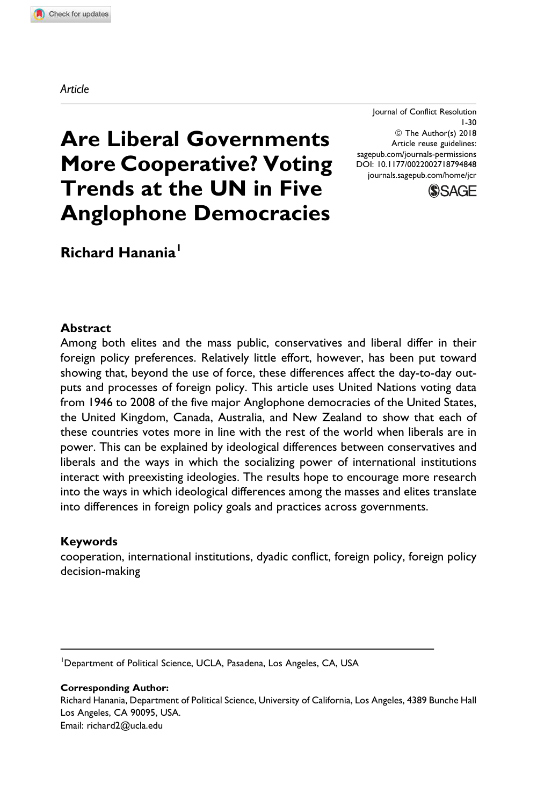Article

Journal of Conflict Resolution 1-30 © The Author(s) 2018 Article reuse guidelines: sagepub.com/journals-permissions DOI: 10.1177/0022002718794848 journals.sagepub.com/home/jcr



# Are Liberal Governments More Cooperative? Voting Trends at the UN in Five Anglophone Democracies

Richard Hanania<sup>1</sup>

#### Abstract

Among both elites and the mass public, conservatives and liberal differ in their foreign policy preferences. Relatively little effort, however, has been put toward showing that, beyond the use of force, these differences affect the day-to-day outputs and processes of foreign policy. This article uses United Nations voting data from 1946 to 2008 of the five major Anglophone democracies of the United States, the United Kingdom, Canada, Australia, and New Zealand to show that each of these countries votes more in line with the rest of the world when liberals are in power. This can be explained by ideological differences between conservatives and liberals and the ways in which the socializing power of international institutions interact with preexisting ideologies. The results hope to encourage more research into the ways in which ideological differences among the masses and elites translate into differences in foreign policy goals and practices across governments.

#### Keywords

cooperation, international institutions, dyadic conflict, foreign policy, foreign policy decision-making

<sup>1</sup>Department of Political Science, UCLA, Pasadena, Los Angeles, CA, USA

Corresponding Author: Richard Hanania, Department of Political Science, University of California, Los Angeles, 4389 Bunche Hall Los Angeles, CA 90095, USA. Email: richard2@ucla.edu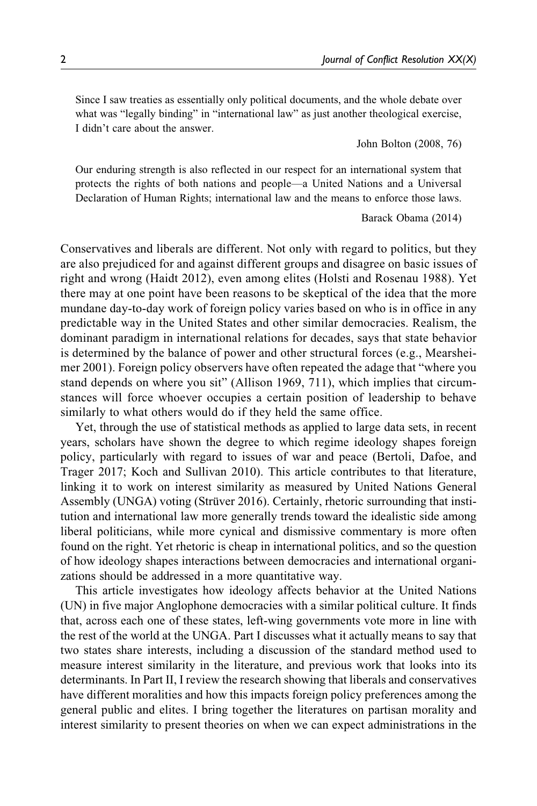Since I saw treaties as essentially only political documents, and the whole debate over what was "legally binding" in "international law" as just another theological exercise, I didn't care about the answer.

John Bolton (2008, 76)

Our enduring strength is also reflected in our respect for an international system that protects the rights of both nations and people—a United Nations and a Universal Declaration of Human Rights; international law and the means to enforce those laws.

Barack Obama (2014)

Conservatives and liberals are different. Not only with regard to politics, but they are also prejudiced for and against different groups and disagree on basic issues of right and wrong (Haidt 2012), even among elites (Holsti and Rosenau 1988). Yet there may at one point have been reasons to be skeptical of the idea that the more mundane day-to-day work of foreign policy varies based on who is in office in any predictable way in the United States and other similar democracies. Realism, the dominant paradigm in international relations for decades, says that state behavior is determined by the balance of power and other structural forces (e.g., Mearsheimer 2001). Foreign policy observers have often repeated the adage that "where you stand depends on where you sit" (Allison 1969, 711), which implies that circumstances will force whoever occupies a certain position of leadership to behave similarly to what others would do if they held the same office.

Yet, through the use of statistical methods as applied to large data sets, in recent years, scholars have shown the degree to which regime ideology shapes foreign policy, particularly with regard to issues of war and peace (Bertoli, Dafoe, and Trager 2017; Koch and Sullivan 2010). This article contributes to that literature, linking it to work on interest similarity as measured by United Nations General Assembly (UNGA) voting (Strüver 2016). Certainly, rhetoric surrounding that institution and international law more generally trends toward the idealistic side among liberal politicians, while more cynical and dismissive commentary is more often found on the right. Yet rhetoric is cheap in international politics, and so the question of how ideology shapes interactions between democracies and international organizations should be addressed in a more quantitative way.

This article investigates how ideology affects behavior at the United Nations (UN) in five major Anglophone democracies with a similar political culture. It finds that, across each one of these states, left-wing governments vote more in line with the rest of the world at the UNGA. Part I discusses what it actually means to say that two states share interests, including a discussion of the standard method used to measure interest similarity in the literature, and previous work that looks into its determinants. In Part II, I review the research showing that liberals and conservatives have different moralities and how this impacts foreign policy preferences among the general public and elites. I bring together the literatures on partisan morality and interest similarity to present theories on when we can expect administrations in the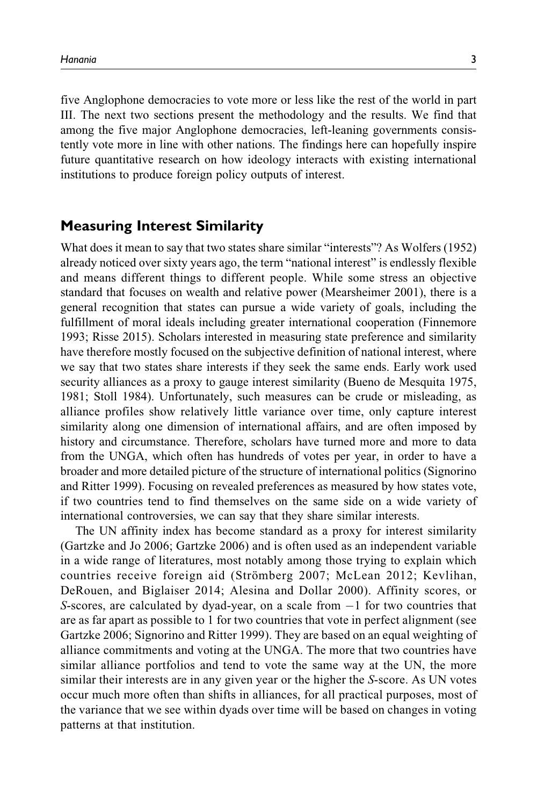five Anglophone democracies to vote more or less like the rest of the world in part III. The next two sections present the methodology and the results. We find that among the five major Anglophone democracies, left-leaning governments consistently vote more in line with other nations. The findings here can hopefully inspire future quantitative research on how ideology interacts with existing international institutions to produce foreign policy outputs of interest.

## Measuring Interest Similarity

What does it mean to say that two states share similar "interests"? As Wolfers (1952) already noticed over sixty years ago, the term "national interest" is endlessly flexible and means different things to different people. While some stress an objective standard that focuses on wealth and relative power (Mearsheimer 2001), there is a general recognition that states can pursue a wide variety of goals, including the fulfillment of moral ideals including greater international cooperation (Finnemore 1993; Risse 2015). Scholars interested in measuring state preference and similarity have therefore mostly focused on the subjective definition of national interest, where we say that two states share interests if they seek the same ends. Early work used security alliances as a proxy to gauge interest similarity (Bueno de Mesquita 1975, 1981; Stoll 1984). Unfortunately, such measures can be crude or misleading, as alliance profiles show relatively little variance over time, only capture interest similarity along one dimension of international affairs, and are often imposed by history and circumstance. Therefore, scholars have turned more and more to data from the UNGA, which often has hundreds of votes per year, in order to have a broader and more detailed picture of the structure of international politics (Signorino and Ritter 1999). Focusing on revealed preferences as measured by how states vote, if two countries tend to find themselves on the same side on a wide variety of international controversies, we can say that they share similar interests.

The UN affinity index has become standard as a proxy for interest similarity (Gartzke and Jo 2006; Gartzke 2006) and is often used as an independent variable in a wide range of literatures, most notably among those trying to explain which countries receive foreign aid (Strömberg 2007; McLean 2012; Kevlihan, DeRouen, and Biglaiser 2014; Alesina and Dollar 2000). Affinity scores, or S-scores, are calculated by dyad-year, on a scale from  $-1$  for two countries that are as far apart as possible to 1 for two countries that vote in perfect alignment (see Gartzke 2006; Signorino and Ritter 1999). They are based on an equal weighting of alliance commitments and voting at the UNGA. The more that two countries have similar alliance portfolios and tend to vote the same way at the UN, the more similar their interests are in any given year or the higher the S-score. As UN votes occur much more often than shifts in alliances, for all practical purposes, most of the variance that we see within dyads over time will be based on changes in voting patterns at that institution.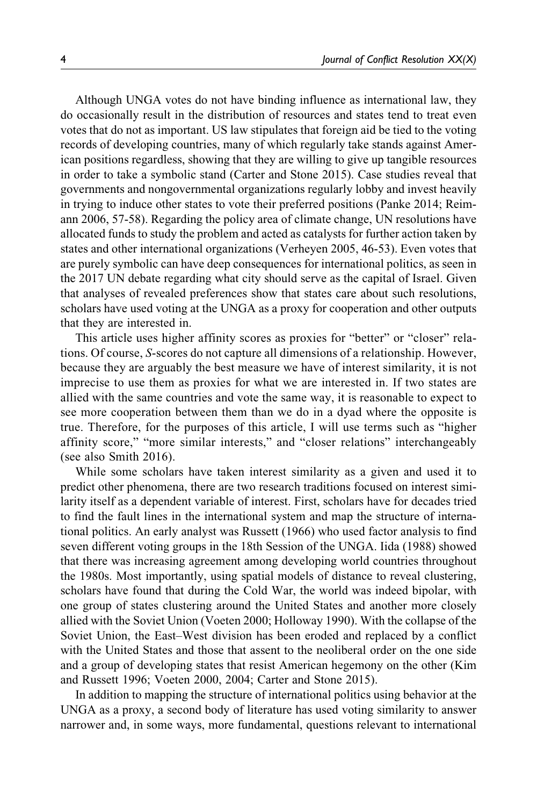Although UNGA votes do not have binding influence as international law, they do occasionally result in the distribution of resources and states tend to treat even votes that do not as important. US law stipulates that foreign aid be tied to the voting records of developing countries, many of which regularly take stands against American positions regardless, showing that they are willing to give up tangible resources in order to take a symbolic stand (Carter and Stone 2015). Case studies reveal that governments and nongovernmental organizations regularly lobby and invest heavily in trying to induce other states to vote their preferred positions (Panke 2014; Reimann 2006, 57-58). Regarding the policy area of climate change, UN resolutions have allocated funds to study the problem and acted as catalysts for further action taken by states and other international organizations (Verheyen 2005, 46-53). Even votes that are purely symbolic can have deep consequences for international politics, as seen in the 2017 UN debate regarding what city should serve as the capital of Israel. Given that analyses of revealed preferences show that states care about such resolutions, scholars have used voting at the UNGA as a proxy for cooperation and other outputs that they are interested in.

This article uses higher affinity scores as proxies for "better" or "closer" relations. Of course, S-scores do not capture all dimensions of a relationship. However, because they are arguably the best measure we have of interest similarity, it is not imprecise to use them as proxies for what we are interested in. If two states are allied with the same countries and vote the same way, it is reasonable to expect to see more cooperation between them than we do in a dyad where the opposite is true. Therefore, for the purposes of this article, I will use terms such as "higher affinity score," "more similar interests," and "closer relations" interchangeably (see also Smith 2016).

While some scholars have taken interest similarity as a given and used it to predict other phenomena, there are two research traditions focused on interest similarity itself as a dependent variable of interest. First, scholars have for decades tried to find the fault lines in the international system and map the structure of international politics. An early analyst was Russett (1966) who used factor analysis to find seven different voting groups in the 18th Session of the UNGA. Iida (1988) showed that there was increasing agreement among developing world countries throughout the 1980s. Most importantly, using spatial models of distance to reveal clustering, scholars have found that during the Cold War, the world was indeed bipolar, with one group of states clustering around the United States and another more closely allied with the Soviet Union (Voeten 2000; Holloway 1990). With the collapse of the Soviet Union, the East–West division has been eroded and replaced by a conflict with the United States and those that assent to the neoliberal order on the one side and a group of developing states that resist American hegemony on the other (Kim and Russett 1996; Voeten 2000, 2004; Carter and Stone 2015).

In addition to mapping the structure of international politics using behavior at the UNGA as a proxy, a second body of literature has used voting similarity to answer narrower and, in some ways, more fundamental, questions relevant to international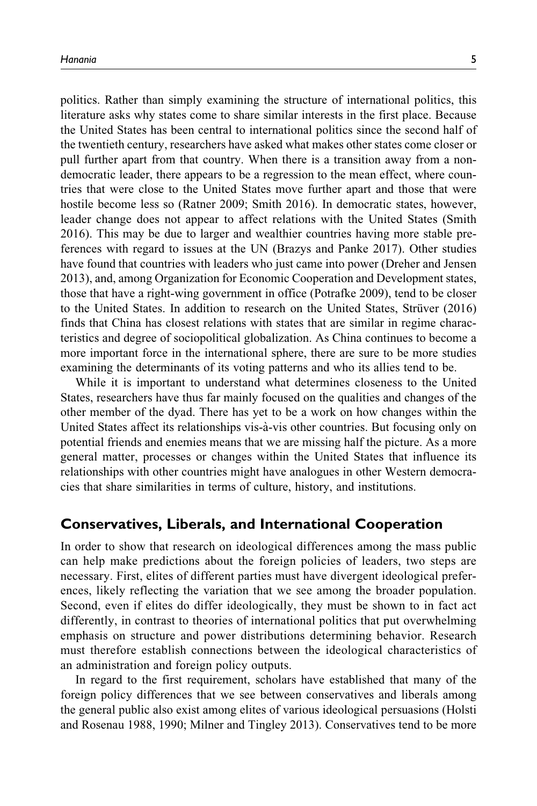politics. Rather than simply examining the structure of international politics, this literature asks why states come to share similar interests in the first place. Because the United States has been central to international politics since the second half of the twentieth century, researchers have asked what makes other states come closer or pull further apart from that country. When there is a transition away from a nondemocratic leader, there appears to be a regression to the mean effect, where countries that were close to the United States move further apart and those that were hostile become less so (Ratner 2009; Smith 2016). In democratic states, however, leader change does not appear to affect relations with the United States (Smith 2016). This may be due to larger and wealthier countries having more stable preferences with regard to issues at the UN (Brazys and Panke 2017). Other studies have found that countries with leaders who just came into power (Dreher and Jensen 2013), and, among Organization for Economic Cooperation and Development states, those that have a right-wing government in office (Potrafke 2009), tend to be closer to the United States. In addition to research on the United States, Strüver (2016) finds that China has closest relations with states that are similar in regime characteristics and degree of sociopolitical globalization. As China continues to become a more important force in the international sphere, there are sure to be more studies examining the determinants of its voting patterns and who its allies tend to be.

While it is important to understand what determines closeness to the United States, researchers have thus far mainly focused on the qualities and changes of the other member of the dyad. There has yet to be a work on how changes within the United States affect its relationships vis-à-vis other countries. But focusing only on potential friends and enemies means that we are missing half the picture. As a more general matter, processes or changes within the United States that influence its relationships with other countries might have analogues in other Western democracies that share similarities in terms of culture, history, and institutions.

#### Conservatives, Liberals, and International Cooperation

In order to show that research on ideological differences among the mass public can help make predictions about the foreign policies of leaders, two steps are necessary. First, elites of different parties must have divergent ideological preferences, likely reflecting the variation that we see among the broader population. Second, even if elites do differ ideologically, they must be shown to in fact act differently, in contrast to theories of international politics that put overwhelming emphasis on structure and power distributions determining behavior. Research must therefore establish connections between the ideological characteristics of an administration and foreign policy outputs.

In regard to the first requirement, scholars have established that many of the foreign policy differences that we see between conservatives and liberals among the general public also exist among elites of various ideological persuasions (Holsti and Rosenau 1988, 1990; Milner and Tingley 2013). Conservatives tend to be more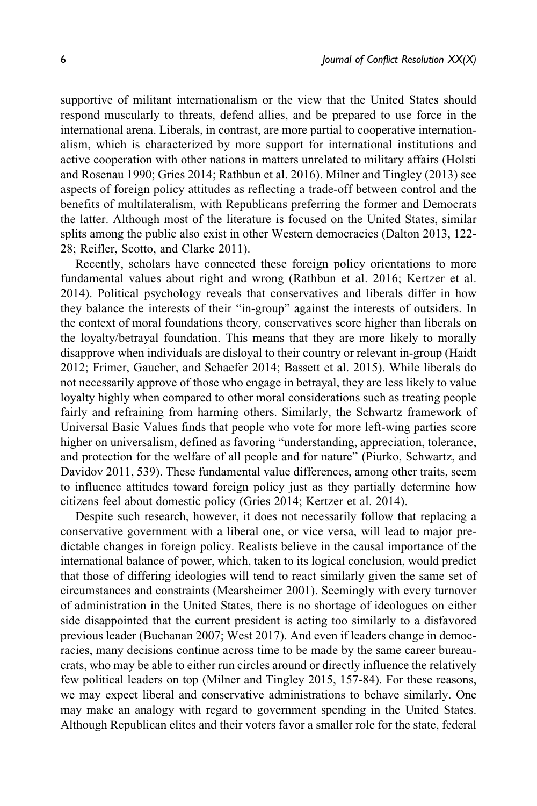supportive of militant internationalism or the view that the United States should respond muscularly to threats, defend allies, and be prepared to use force in the international arena. Liberals, in contrast, are more partial to cooperative internationalism, which is characterized by more support for international institutions and active cooperation with other nations in matters unrelated to military affairs (Holsti and Rosenau 1990; Gries 2014; Rathbun et al. 2016). Milner and Tingley (2013) see aspects of foreign policy attitudes as reflecting a trade-off between control and the benefits of multilateralism, with Republicans preferring the former and Democrats the latter. Although most of the literature is focused on the United States, similar splits among the public also exist in other Western democracies (Dalton 2013, 122- 28; Reifler, Scotto, and Clarke 2011).

Recently, scholars have connected these foreign policy orientations to more fundamental values about right and wrong (Rathbun et al. 2016; Kertzer et al. 2014). Political psychology reveals that conservatives and liberals differ in how they balance the interests of their "in-group" against the interests of outsiders. In the context of moral foundations theory, conservatives score higher than liberals on the loyalty/betrayal foundation. This means that they are more likely to morally disapprove when individuals are disloyal to their country or relevant in-group (Haidt 2012; Frimer, Gaucher, and Schaefer 2014; Bassett et al. 2015). While liberals do not necessarily approve of those who engage in betrayal, they are less likely to value loyalty highly when compared to other moral considerations such as treating people fairly and refraining from harming others. Similarly, the Schwartz framework of Universal Basic Values finds that people who vote for more left-wing parties score higher on universalism, defined as favoring "understanding, appreciation, tolerance, and protection for the welfare of all people and for nature" (Piurko, Schwartz, and Davidov 2011, 539). These fundamental value differences, among other traits, seem to influence attitudes toward foreign policy just as they partially determine how citizens feel about domestic policy (Gries 2014; Kertzer et al. 2014).

Despite such research, however, it does not necessarily follow that replacing a conservative government with a liberal one, or vice versa, will lead to major predictable changes in foreign policy. Realists believe in the causal importance of the international balance of power, which, taken to its logical conclusion, would predict that those of differing ideologies will tend to react similarly given the same set of circumstances and constraints (Mearsheimer 2001). Seemingly with every turnover of administration in the United States, there is no shortage of ideologues on either side disappointed that the current president is acting too similarly to a disfavored previous leader (Buchanan 2007; West 2017). And even if leaders change in democracies, many decisions continue across time to be made by the same career bureaucrats, who may be able to either run circles around or directly influence the relatively few political leaders on top (Milner and Tingley 2015, 157-84). For these reasons, we may expect liberal and conservative administrations to behave similarly. One may make an analogy with regard to government spending in the United States. Although Republican elites and their voters favor a smaller role for the state, federal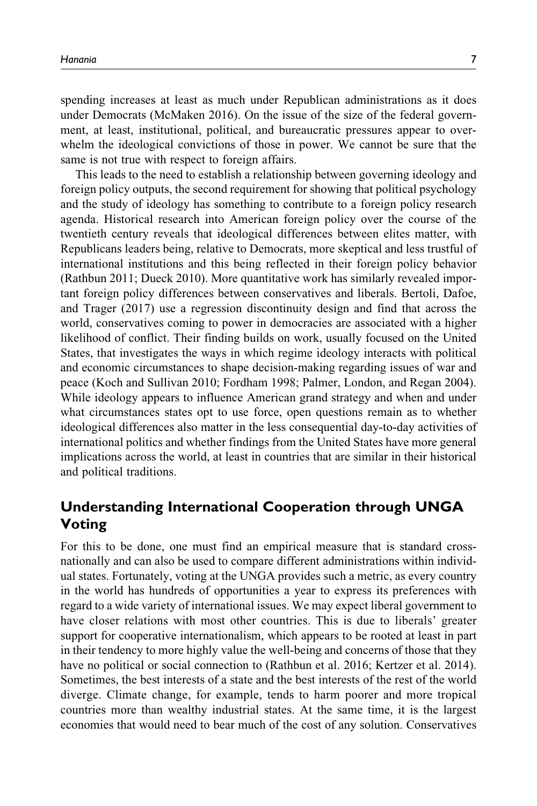spending increases at least as much under Republican administrations as it does under Democrats (McMaken 2016). On the issue of the size of the federal government, at least, institutional, political, and bureaucratic pressures appear to overwhelm the ideological convictions of those in power. We cannot be sure that the same is not true with respect to foreign affairs.

This leads to the need to establish a relationship between governing ideology and foreign policy outputs, the second requirement for showing that political psychology and the study of ideology has something to contribute to a foreign policy research agenda. Historical research into American foreign policy over the course of the twentieth century reveals that ideological differences between elites matter, with Republicans leaders being, relative to Democrats, more skeptical and less trustful of international institutions and this being reflected in their foreign policy behavior (Rathbun 2011; Dueck 2010). More quantitative work has similarly revealed important foreign policy differences between conservatives and liberals. Bertoli, Dafoe, and Trager (2017) use a regression discontinuity design and find that across the world, conservatives coming to power in democracies are associated with a higher likelihood of conflict. Their finding builds on work, usually focused on the United States, that investigates the ways in which regime ideology interacts with political and economic circumstances to shape decision-making regarding issues of war and peace (Koch and Sullivan 2010; Fordham 1998; Palmer, London, and Regan 2004). While ideology appears to influence American grand strategy and when and under what circumstances states opt to use force, open questions remain as to whether ideological differences also matter in the less consequential day-to-day activities of international politics and whether findings from the United States have more general implications across the world, at least in countries that are similar in their historical and political traditions.

# Understanding International Cooperation through UNGA Voting

For this to be done, one must find an empirical measure that is standard crossnationally and can also be used to compare different administrations within individual states. Fortunately, voting at the UNGA provides such a metric, as every country in the world has hundreds of opportunities a year to express its preferences with regard to a wide variety of international issues. We may expect liberal government to have closer relations with most other countries. This is due to liberals' greater support for cooperative internationalism, which appears to be rooted at least in part in their tendency to more highly value the well-being and concerns of those that they have no political or social connection to (Rathbun et al. 2016; Kertzer et al. 2014). Sometimes, the best interests of a state and the best interests of the rest of the world diverge. Climate change, for example, tends to harm poorer and more tropical countries more than wealthy industrial states. At the same time, it is the largest economies that would need to bear much of the cost of any solution. Conservatives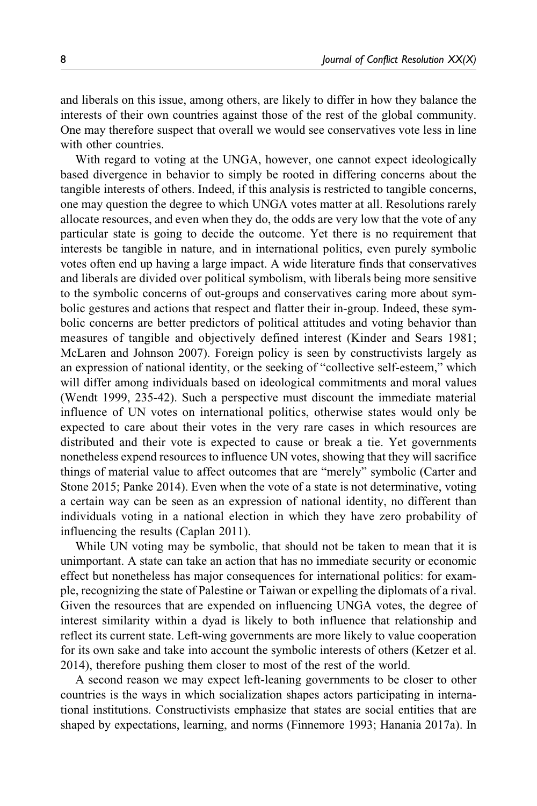and liberals on this issue, among others, are likely to differ in how they balance the interests of their own countries against those of the rest of the global community. One may therefore suspect that overall we would see conservatives vote less in line with other countries.

With regard to voting at the UNGA, however, one cannot expect ideologically based divergence in behavior to simply be rooted in differing concerns about the tangible interests of others. Indeed, if this analysis is restricted to tangible concerns, one may question the degree to which UNGA votes matter at all. Resolutions rarely allocate resources, and even when they do, the odds are very low that the vote of any particular state is going to decide the outcome. Yet there is no requirement that interests be tangible in nature, and in international politics, even purely symbolic votes often end up having a large impact. A wide literature finds that conservatives and liberals are divided over political symbolism, with liberals being more sensitive to the symbolic concerns of out-groups and conservatives caring more about symbolic gestures and actions that respect and flatter their in-group. Indeed, these symbolic concerns are better predictors of political attitudes and voting behavior than measures of tangible and objectively defined interest (Kinder and Sears 1981; McLaren and Johnson 2007). Foreign policy is seen by constructivists largely as an expression of national identity, or the seeking of "collective self-esteem," which will differ among individuals based on ideological commitments and moral values (Wendt 1999, 235-42). Such a perspective must discount the immediate material influence of UN votes on international politics, otherwise states would only be expected to care about their votes in the very rare cases in which resources are distributed and their vote is expected to cause or break a tie. Yet governments nonetheless expend resources to influence UN votes, showing that they will sacrifice things of material value to affect outcomes that are "merely" symbolic (Carter and Stone 2015; Panke 2014). Even when the vote of a state is not determinative, voting a certain way can be seen as an expression of national identity, no different than individuals voting in a national election in which they have zero probability of influencing the results (Caplan 2011).

While UN voting may be symbolic, that should not be taken to mean that it is unimportant. A state can take an action that has no immediate security or economic effect but nonetheless has major consequences for international politics: for example, recognizing the state of Palestine or Taiwan or expelling the diplomats of a rival. Given the resources that are expended on influencing UNGA votes, the degree of interest similarity within a dyad is likely to both influence that relationship and reflect its current state. Left-wing governments are more likely to value cooperation for its own sake and take into account the symbolic interests of others (Ketzer et al. 2014), therefore pushing them closer to most of the rest of the world.

A second reason we may expect left-leaning governments to be closer to other countries is the ways in which socialization shapes actors participating in international institutions. Constructivists emphasize that states are social entities that are shaped by expectations, learning, and norms (Finnemore 1993; Hanania 2017a). In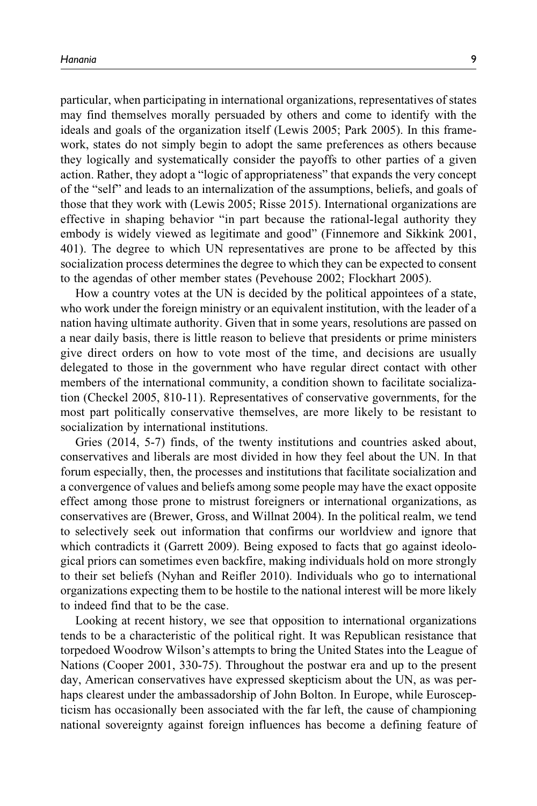particular, when participating in international organizations, representatives of states may find themselves morally persuaded by others and come to identify with the ideals and goals of the organization itself (Lewis 2005; Park 2005). In this framework, states do not simply begin to adopt the same preferences as others because they logically and systematically consider the payoffs to other parties of a given action. Rather, they adopt a "logic of appropriateness" that expands the very concept of the "self" and leads to an internalization of the assumptions, beliefs, and goals of those that they work with (Lewis 2005; Risse 2015). International organizations are effective in shaping behavior "in part because the rational-legal authority they embody is widely viewed as legitimate and good" (Finnemore and Sikkink 2001, 401). The degree to which UN representatives are prone to be affected by this socialization process determines the degree to which they can be expected to consent to the agendas of other member states (Pevehouse 2002; Flockhart 2005).

How a country votes at the UN is decided by the political appointees of a state, who work under the foreign ministry or an equivalent institution, with the leader of a nation having ultimate authority. Given that in some years, resolutions are passed on a near daily basis, there is little reason to believe that presidents or prime ministers give direct orders on how to vote most of the time, and decisions are usually delegated to those in the government who have regular direct contact with other members of the international community, a condition shown to facilitate socialization (Checkel 2005, 810-11). Representatives of conservative governments, for the most part politically conservative themselves, are more likely to be resistant to socialization by international institutions.

Gries (2014, 5-7) finds, of the twenty institutions and countries asked about, conservatives and liberals are most divided in how they feel about the UN. In that forum especially, then, the processes and institutions that facilitate socialization and a convergence of values and beliefs among some people may have the exact opposite effect among those prone to mistrust foreigners or international organizations, as conservatives are (Brewer, Gross, and Willnat 2004). In the political realm, we tend to selectively seek out information that confirms our worldview and ignore that which contradicts it (Garrett 2009). Being exposed to facts that go against ideological priors can sometimes even backfire, making individuals hold on more strongly to their set beliefs (Nyhan and Reifler 2010). Individuals who go to international organizations expecting them to be hostile to the national interest will be more likely to indeed find that to be the case.

Looking at recent history, we see that opposition to international organizations tends to be a characteristic of the political right. It was Republican resistance that torpedoed Woodrow Wilson's attempts to bring the United States into the League of Nations (Cooper 2001, 330-75). Throughout the postwar era and up to the present day, American conservatives have expressed skepticism about the UN, as was perhaps clearest under the ambassadorship of John Bolton. In Europe, while Euroscepticism has occasionally been associated with the far left, the cause of championing national sovereignty against foreign influences has become a defining feature of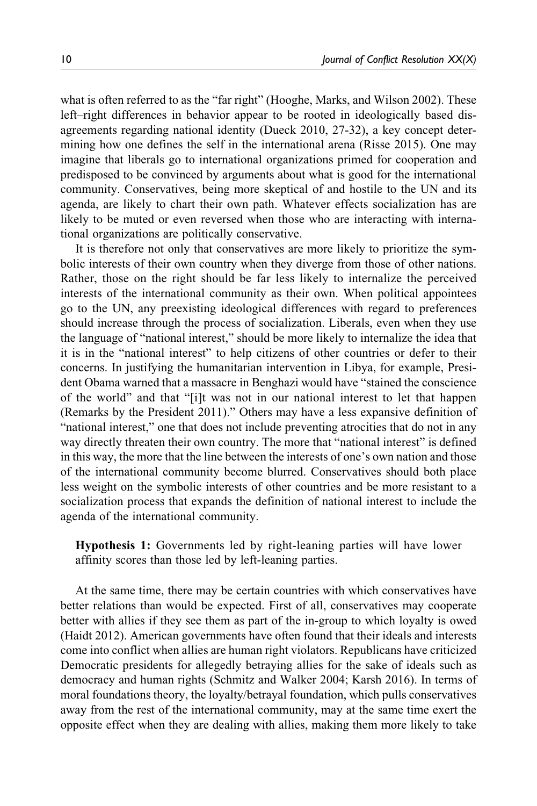what is often referred to as the "far right" (Hooghe, Marks, and Wilson 2002). These left–right differences in behavior appear to be rooted in ideologically based disagreements regarding national identity (Dueck 2010, 27-32), a key concept determining how one defines the self in the international arena (Risse 2015). One may imagine that liberals go to international organizations primed for cooperation and predisposed to be convinced by arguments about what is good for the international community. Conservatives, being more skeptical of and hostile to the UN and its agenda, are likely to chart their own path. Whatever effects socialization has are likely to be muted or even reversed when those who are interacting with international organizations are politically conservative.

It is therefore not only that conservatives are more likely to prioritize the symbolic interests of their own country when they diverge from those of other nations. Rather, those on the right should be far less likely to internalize the perceived interests of the international community as their own. When political appointees go to the UN, any preexisting ideological differences with regard to preferences should increase through the process of socialization. Liberals, even when they use the language of "national interest," should be more likely to internalize the idea that it is in the "national interest" to help citizens of other countries or defer to their concerns. In justifying the humanitarian intervention in Libya, for example, President Obama warned that a massacre in Benghazi would have "stained the conscience of the world" and that "[i]t was not in our national interest to let that happen (Remarks by the President 2011)." Others may have a less expansive definition of "national interest," one that does not include preventing atrocities that do not in any way directly threaten their own country. The more that "national interest" is defined in this way, the more that the line between the interests of one's own nation and those of the international community become blurred. Conservatives should both place less weight on the symbolic interests of other countries and be more resistant to a socialization process that expands the definition of national interest to include the agenda of the international community.

Hypothesis 1: Governments led by right-leaning parties will have lower affinity scores than those led by left-leaning parties.

At the same time, there may be certain countries with which conservatives have better relations than would be expected. First of all, conservatives may cooperate better with allies if they see them as part of the in-group to which loyalty is owed (Haidt 2012). American governments have often found that their ideals and interests come into conflict when allies are human right violators. Republicans have criticized Democratic presidents for allegedly betraying allies for the sake of ideals such as democracy and human rights (Schmitz and Walker 2004; Karsh 2016). In terms of moral foundations theory, the loyalty/betrayal foundation, which pulls conservatives away from the rest of the international community, may at the same time exert the opposite effect when they are dealing with allies, making them more likely to take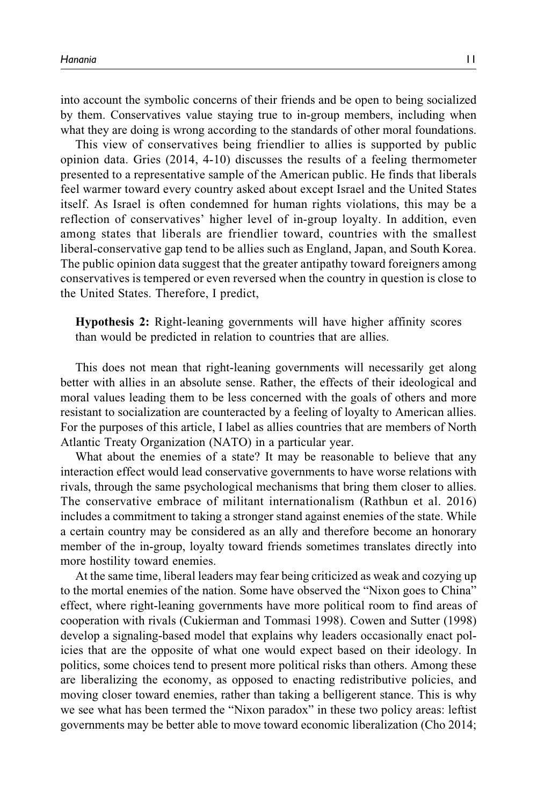into account the symbolic concerns of their friends and be open to being socialized by them. Conservatives value staying true to in-group members, including when what they are doing is wrong according to the standards of other moral foundations.

This view of conservatives being friendlier to allies is supported by public opinion data. Gries (2014, 4-10) discusses the results of a feeling thermometer presented to a representative sample of the American public. He finds that liberals feel warmer toward every country asked about except Israel and the United States itself. As Israel is often condemned for human rights violations, this may be a reflection of conservatives' higher level of in-group loyalty. In addition, even among states that liberals are friendlier toward, countries with the smallest liberal-conservative gap tend to be allies such as England, Japan, and South Korea. The public opinion data suggest that the greater antipathy toward foreigners among conservatives is tempered or even reversed when the country in question is close to the United States. Therefore, I predict,

Hypothesis 2: Right-leaning governments will have higher affinity scores than would be predicted in relation to countries that are allies.

This does not mean that right-leaning governments will necessarily get along better with allies in an absolute sense. Rather, the effects of their ideological and moral values leading them to be less concerned with the goals of others and more resistant to socialization are counteracted by a feeling of loyalty to American allies. For the purposes of this article, I label as allies countries that are members of North Atlantic Treaty Organization (NATO) in a particular year.

What about the enemies of a state? It may be reasonable to believe that any interaction effect would lead conservative governments to have worse relations with rivals, through the same psychological mechanisms that bring them closer to allies. The conservative embrace of militant internationalism (Rathbun et al. 2016) includes a commitment to taking a stronger stand against enemies of the state. While a certain country may be considered as an ally and therefore become an honorary member of the in-group, loyalty toward friends sometimes translates directly into more hostility toward enemies.

At the same time, liberal leaders may fear being criticized as weak and cozying up to the mortal enemies of the nation. Some have observed the "Nixon goes to China" effect, where right-leaning governments have more political room to find areas of cooperation with rivals (Cukierman and Tommasi 1998). Cowen and Sutter (1998) develop a signaling-based model that explains why leaders occasionally enact policies that are the opposite of what one would expect based on their ideology. In politics, some choices tend to present more political risks than others. Among these are liberalizing the economy, as opposed to enacting redistributive policies, and moving closer toward enemies, rather than taking a belligerent stance. This is why we see what has been termed the "Nixon paradox" in these two policy areas: leftist governments may be better able to move toward economic liberalization (Cho 2014;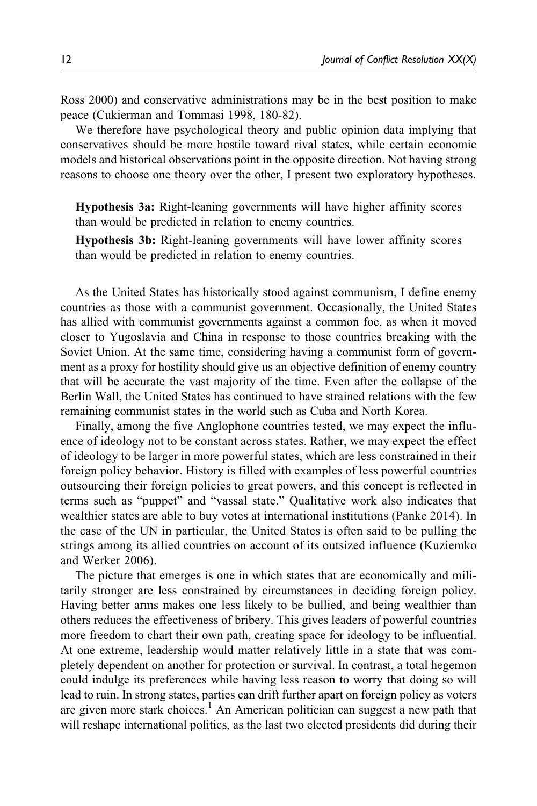Ross 2000) and conservative administrations may be in the best position to make peace (Cukierman and Tommasi 1998, 180-82).

We therefore have psychological theory and public opinion data implying that conservatives should be more hostile toward rival states, while certain economic models and historical observations point in the opposite direction. Not having strong reasons to choose one theory over the other, I present two exploratory hypotheses.

Hypothesis 3a: Right-leaning governments will have higher affinity scores than would be predicted in relation to enemy countries.

Hypothesis 3b: Right-leaning governments will have lower affinity scores than would be predicted in relation to enemy countries.

As the United States has historically stood against communism, I define enemy countries as those with a communist government. Occasionally, the United States has allied with communist governments against a common foe, as when it moved closer to Yugoslavia and China in response to those countries breaking with the Soviet Union. At the same time, considering having a communist form of government as a proxy for hostility should give us an objective definition of enemy country that will be accurate the vast majority of the time. Even after the collapse of the Berlin Wall, the United States has continued to have strained relations with the few remaining communist states in the world such as Cuba and North Korea.

Finally, among the five Anglophone countries tested, we may expect the influence of ideology not to be constant across states. Rather, we may expect the effect of ideology to be larger in more powerful states, which are less constrained in their foreign policy behavior. History is filled with examples of less powerful countries outsourcing their foreign policies to great powers, and this concept is reflected in terms such as "puppet" and "vassal state." Qualitative work also indicates that wealthier states are able to buy votes at international institutions (Panke 2014). In the case of the UN in particular, the United States is often said to be pulling the strings among its allied countries on account of its outsized influence (Kuziemko and Werker 2006).

The picture that emerges is one in which states that are economically and militarily stronger are less constrained by circumstances in deciding foreign policy. Having better arms makes one less likely to be bullied, and being wealthier than others reduces the effectiveness of bribery. This gives leaders of powerful countries more freedom to chart their own path, creating space for ideology to be influential. At one extreme, leadership would matter relatively little in a state that was completely dependent on another for protection or survival. In contrast, a total hegemon could indulge its preferences while having less reason to worry that doing so will lead to ruin. In strong states, parties can drift further apart on foreign policy as voters are given more stark choices.<sup>1</sup> An American politician can suggest a new path that will reshape international politics, as the last two elected presidents did during their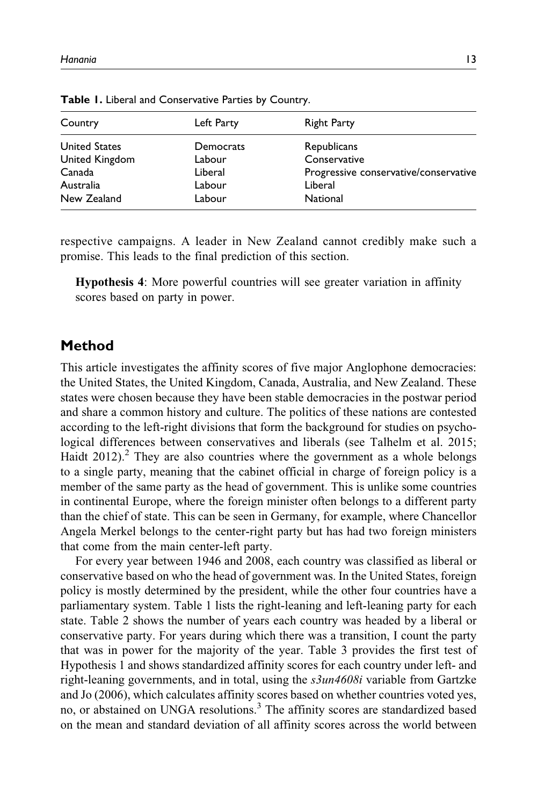| Country              | Left Party | <b>Right Party</b>                    |  |  |
|----------------------|------------|---------------------------------------|--|--|
| <b>United States</b> | Democrats  | Republicans                           |  |  |
| United Kingdom       | Labour     | Conservative                          |  |  |
| Canada               | Liberal    | Progressive conservative/conservative |  |  |
| Australia            | Labour     | Liberal                               |  |  |
| New Zealand          | Labour     | National                              |  |  |

Table 1. Liberal and Conservative Parties by Country.

respective campaigns. A leader in New Zealand cannot credibly make such a promise. This leads to the final prediction of this section.

Hypothesis 4: More powerful countries will see greater variation in affinity scores based on party in power.

#### Method

This article investigates the affinity scores of five major Anglophone democracies: the United States, the United Kingdom, Canada, Australia, and New Zealand. These states were chosen because they have been stable democracies in the postwar period and share a common history and culture. The politics of these nations are contested according to the left-right divisions that form the background for studies on psychological differences between conservatives and liberals (see Talhelm et al. 2015; Haidt 2012).<sup>2</sup> They are also countries where the government as a whole belongs to a single party, meaning that the cabinet official in charge of foreign policy is a member of the same party as the head of government. This is unlike some countries in continental Europe, where the foreign minister often belongs to a different party than the chief of state. This can be seen in Germany, for example, where Chancellor Angela Merkel belongs to the center-right party but has had two foreign ministers that come from the main center-left party.

For every year between 1946 and 2008, each country was classified as liberal or conservative based on who the head of government was. In the United States, foreign policy is mostly determined by the president, while the other four countries have a parliamentary system. Table 1 lists the right-leaning and left-leaning party for each state. Table 2 shows the number of years each country was headed by a liberal or conservative party. For years during which there was a transition, I count the party that was in power for the majority of the year. Table 3 provides the first test of Hypothesis 1 and shows standardized affinity scores for each country under left- and right-leaning governments, and in total, using the  $s3un4608i$  variable from Gartzke and Jo (2006), which calculates affinity scores based on whether countries voted yes, no, or abstained on UNGA resolutions.<sup>3</sup> The affinity scores are standardized based on the mean and standard deviation of all affinity scores across the world between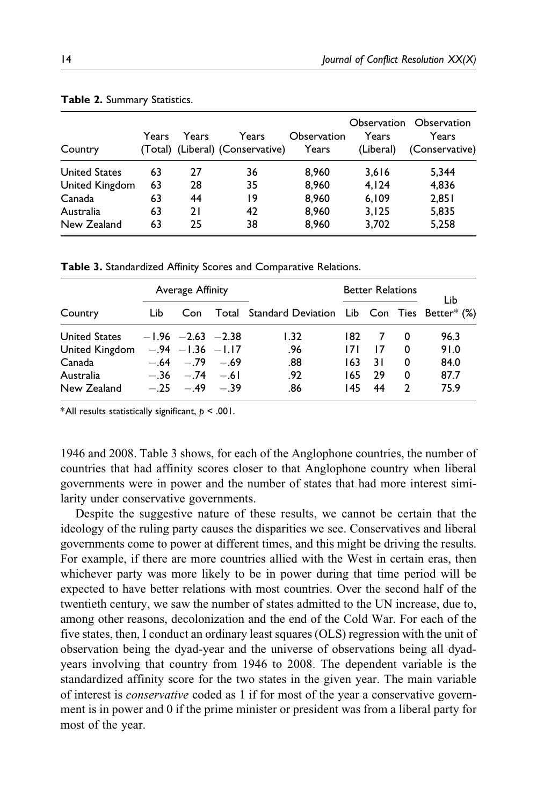| Country              | Years | Years | Years<br>(Total) (Liberal) (Conservative) | Observation<br>Years | Years<br>(Liberal) | Observation Observation<br>Years<br>(Conservative) |
|----------------------|-------|-------|-------------------------------------------|----------------------|--------------------|----------------------------------------------------|
| <b>United States</b> | 63    | 27    | 36                                        | 8.960                | 3.616              | 5.344                                              |
| United Kingdom       | 63    | 28    | 35                                        | 8.960                | 4.124              | 4,836                                              |
| Canada               | 63    | 44    | 19                                        | 8.960                | 6.109              | 2,851                                              |
| Australia            | 63    | 21    | 42                                        | 8,960                | 3.125              | 5,835                                              |
| New Zealand          | 63    | 25    | 38                                        | 8.960                | 3.702              | 5,258                                              |

Table 2. Summary Statistics.

Table 3. Standardized Affinity Scores and Comparative Relations.

| Average Affinity                  |     |                      |  | <b>Better Relations</b>                           |     |    | Lib           |      |
|-----------------------------------|-----|----------------------|--|---------------------------------------------------|-----|----|---------------|------|
| Country                           | Lib | Con                  |  | Total Standard Deviation Lib Con Ties Better* (%) |     |    |               |      |
| <b>United States</b>              |     | $-1.96 -2.63 -2.38$  |  | 1.32                                              | 182 |    | 0             | 96.3 |
| United Kingdom $-.94$ -1.36 -1.17 |     |                      |  | .96                                               | 171 |    | 0             | 91.0 |
| Canada                            |     | $-.64$ $-.79$ $-.69$ |  | .88                                               | 163 | 31 | 0             | 84.0 |
| Australia                         |     | $-.36 - .74 - .61$   |  | .92                                               | 165 | 29 | $\Omega$      | 87.7 |
| New Zealand                       |     | $-25 - 49 - 39$      |  | .86                                               | 145 | 44 | $\mathcal{P}$ | 75.9 |

\*All results statistically significant,  $p < .001$ .

1946 and 2008. Table 3 shows, for each of the Anglophone countries, the number of countries that had affinity scores closer to that Anglophone country when liberal governments were in power and the number of states that had more interest similarity under conservative governments.

Despite the suggestive nature of these results, we cannot be certain that the ideology of the ruling party causes the disparities we see. Conservatives and liberal governments come to power at different times, and this might be driving the results. For example, if there are more countries allied with the West in certain eras, then whichever party was more likely to be in power during that time period will be expected to have better relations with most countries. Over the second half of the twentieth century, we saw the number of states admitted to the UN increase, due to, among other reasons, decolonization and the end of the Cold War. For each of the five states, then, I conduct an ordinary least squares (OLS) regression with the unit of observation being the dyad-year and the universe of observations being all dyadyears involving that country from 1946 to 2008. The dependent variable is the standardized affinity score for the two states in the given year. The main variable of interest is conservative coded as 1 if for most of the year a conservative government is in power and 0 if the prime minister or president was from a liberal party for most of the year.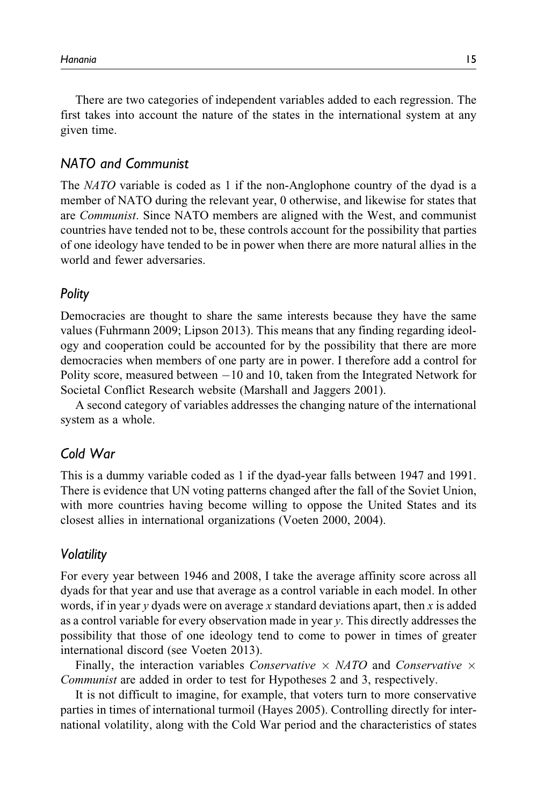There are two categories of independent variables added to each regression. The first takes into account the nature of the states in the international system at any given time.

## NATO and Communist

The NATO variable is coded as 1 if the non-Anglophone country of the dyad is a member of NATO during the relevant year, 0 otherwise, and likewise for states that are Communist. Since NATO members are aligned with the West, and communist countries have tended not to be, these controls account for the possibility that parties of one ideology have tended to be in power when there are more natural allies in the world and fewer adversaries.

#### **Polity**

Democracies are thought to share the same interests because they have the same values (Fuhrmann 2009; Lipson 2013). This means that any finding regarding ideology and cooperation could be accounted for by the possibility that there are more democracies when members of one party are in power. I therefore add a control for Polity score, measured between  $-10$  and 10, taken from the Integrated Network for Societal Conflict Research website (Marshall and Jaggers 2001).

A second category of variables addresses the changing nature of the international system as a whole.

#### Cold War

This is a dummy variable coded as 1 if the dyad-year falls between 1947 and 1991. There is evidence that UN voting patterns changed after the fall of the Soviet Union, with more countries having become willing to oppose the United States and its closest allies in international organizations (Voeten 2000, 2004).

#### Volatility

For every year between 1946 and 2008, I take the average affinity score across all dyads for that year and use that average as a control variable in each model. In other words, if in year y dyads were on average x standard deviations apart, then x is added as a control variable for every observation made in year  $\gamma$ . This directly addresses the possibility that those of one ideology tend to come to power in times of greater international discord (see Voeten 2013).

Finally, the interaction variables *Conservative*  $\times$  *NATO* and *Conservative*  $\times$ Communist are added in order to test for Hypotheses 2 and 3, respectively.

It is not difficult to imagine, for example, that voters turn to more conservative parties in times of international turmoil (Hayes 2005). Controlling directly for international volatility, along with the Cold War period and the characteristics of states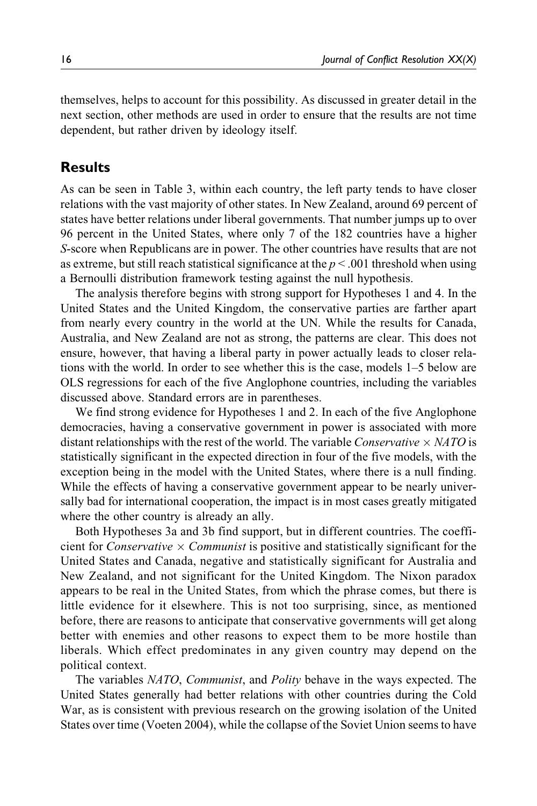themselves, helps to account for this possibility. As discussed in greater detail in the next section, other methods are used in order to ensure that the results are not time dependent, but rather driven by ideology itself.

## Results

As can be seen in Table 3, within each country, the left party tends to have closer relations with the vast majority of other states. In New Zealand, around 69 percent of states have better relations under liberal governments. That number jumps up to over 96 percent in the United States, where only 7 of the 182 countries have a higher S-score when Republicans are in power. The other countries have results that are not as extreme, but still reach statistical significance at the  $p < .001$  threshold when using a Bernoulli distribution framework testing against the null hypothesis.

The analysis therefore begins with strong support for Hypotheses 1 and 4. In the United States and the United Kingdom, the conservative parties are farther apart from nearly every country in the world at the UN. While the results for Canada, Australia, and New Zealand are not as strong, the patterns are clear. This does not ensure, however, that having a liberal party in power actually leads to closer relations with the world. In order to see whether this is the case, models 1–5 below are OLS regressions for each of the five Anglophone countries, including the variables discussed above. Standard errors are in parentheses.

We find strong evidence for Hypotheses 1 and 2. In each of the five Anglophone democracies, having a conservative government in power is associated with more distant relationships with the rest of the world. The variable *Conservative*  $\times$  *NATO* is statistically significant in the expected direction in four of the five models, with the exception being in the model with the United States, where there is a null finding. While the effects of having a conservative government appear to be nearly universally bad for international cooperation, the impact is in most cases greatly mitigated where the other country is already an ally.

Both Hypotheses 3a and 3b find support, but in different countries. The coefficient for Conservative  $\times$  Communist is positive and statistically significant for the United States and Canada, negative and statistically significant for Australia and New Zealand, and not significant for the United Kingdom. The Nixon paradox appears to be real in the United States, from which the phrase comes, but there is little evidence for it elsewhere. This is not too surprising, since, as mentioned before, there are reasons to anticipate that conservative governments will get along better with enemies and other reasons to expect them to be more hostile than liberals. Which effect predominates in any given country may depend on the political context.

The variables NATO, Communist, and Polity behave in the ways expected. The United States generally had better relations with other countries during the Cold War, as is consistent with previous research on the growing isolation of the United States over time (Voeten 2004), while the collapse of the Soviet Union seems to have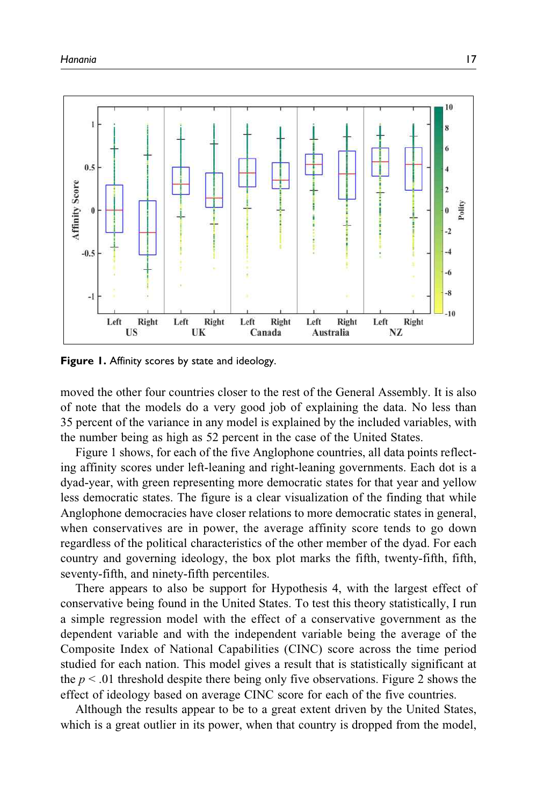

Figure 1. Affinity scores by state and ideology.

moved the other four countries closer to the rest of the General Assembly. It is also of note that the models do a very good job of explaining the data. No less than 35 percent of the variance in any model is explained by the included variables, with the number being as high as 52 percent in the case of the United States.

Figure 1 shows, for each of the five Anglophone countries, all data points reflecting affinity scores under left-leaning and right-leaning governments. Each dot is a dyad-year, with green representing more democratic states for that year and yellow less democratic states. The figure is a clear visualization of the finding that while Anglophone democracies have closer relations to more democratic states in general, when conservatives are in power, the average affinity score tends to go down regardless of the political characteristics of the other member of the dyad. For each country and governing ideology, the box plot marks the fifth, twenty-fifth, fifth, seventy-fifth, and ninety-fifth percentiles.

There appears to also be support for Hypothesis 4, with the largest effect of conservative being found in the United States. To test this theory statistically, I run a simple regression model with the effect of a conservative government as the dependent variable and with the independent variable being the average of the Composite Index of National Capabilities (CINC) score across the time period studied for each nation. This model gives a result that is statistically significant at the  $p < 0.01$  threshold despite there being only five observations. Figure 2 shows the effect of ideology based on average CINC score for each of the five countries.

Although the results appear to be to a great extent driven by the United States, which is a great outlier in its power, when that country is dropped from the model,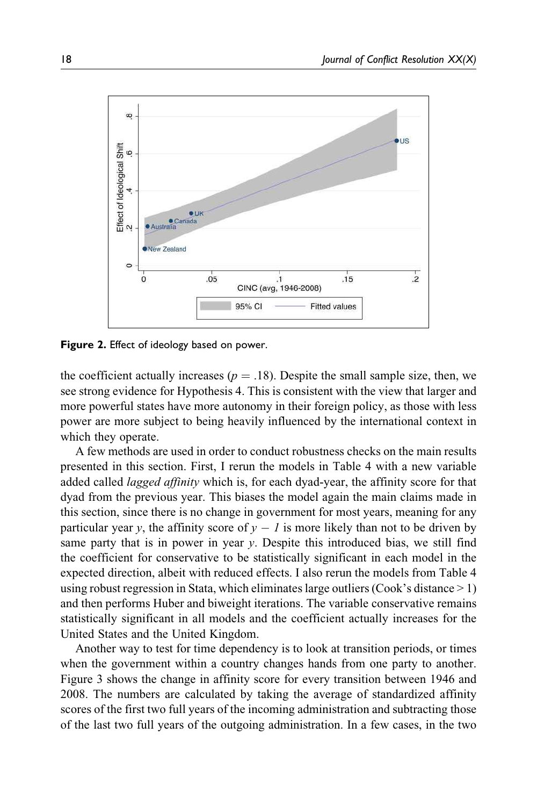

Figure 2. Effect of ideology based on power.

the coefficient actually increases ( $p = .18$ ). Despite the small sample size, then, we see strong evidence for Hypothesis 4. This is consistent with the view that larger and more powerful states have more autonomy in their foreign policy, as those with less power are more subject to being heavily influenced by the international context in which they operate.

A few methods are used in order to conduct robustness checks on the main results presented in this section. First, I rerun the models in Table 4 with a new variable added called *lagged affinity* which is, for each dyad-year, the affinity score for that dyad from the previous year. This biases the model again the main claims made in this section, since there is no change in government for most years, meaning for any particular year y, the affinity score of  $y - l$  is more likely than not to be driven by same party that is in power in year  $y$ . Despite this introduced bias, we still find the coefficient for conservative to be statistically significant in each model in the expected direction, albeit with reduced effects. I also rerun the models from Table 4 using robust regression in Stata, which eliminates large outliers (Cook's distance  $>1$ ) and then performs Huber and biweight iterations. The variable conservative remains statistically significant in all models and the coefficient actually increases for the United States and the United Kingdom.

Another way to test for time dependency is to look at transition periods, or times when the government within a country changes hands from one party to another. Figure 3 shows the change in affinity score for every transition between 1946 and 2008. The numbers are calculated by taking the average of standardized affinity scores of the first two full years of the incoming administration and subtracting those of the last two full years of the outgoing administration. In a few cases, in the two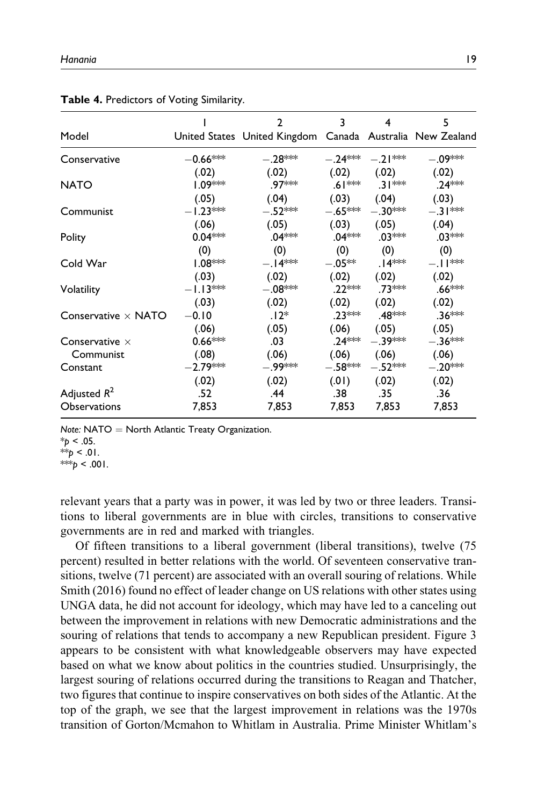|                            |                    | $\mathbf{2}$                                              | 3               | 4                                              | 5                  |
|----------------------------|--------------------|-----------------------------------------------------------|-----------------|------------------------------------------------|--------------------|
| Model                      |                    | United States United Kingdom Canada Australia New Zealand |                 |                                                |                    |
| Conservative               | $-0.66***$         | $-.28***$                                                 | $-.24***$       | $-.21***$                                      | $-.09***$          |
| <b>NATO</b>                | (.02)<br>$1.09***$ | (.02)<br>.97***                                           | (.02)<br>.61*** | (.02)<br>.31***                                | (.02)<br>.24***    |
|                            | (.05)              | (.04)                                                     |                 | $(.03)$ $(.04)$                                | (.03)              |
| Communist                  | $-1.23***$         | $-.52***$                                                 | $-.65***$       | $-.30^{*\!\bowtie\!\bowtie\!\bowtie\!\bowtie}$ | $-.3$  ***         |
|                            | (.06)              | (.05)                                                     | (.03)           | (.05)                                          | (.04)              |
| Polity                     | $0.04***$          | .04 <sup>≉≉</sup>                                         | .04***          | .03***                                         | .03 ***            |
|                            | (0)                | (0)                                                       | (0)             | (0)                                            | (0)                |
| Cold War                   | $1.08***$          | $-.14***$                                                 | $-.05^{**}$     | .14 <sup>≉≉≭</sup>                             | $-.11***$          |
|                            | (.03)              | (.02)                                                     | (.02)           | (.02)                                          | (.02)              |
| Volatility                 | $-1.13***$         | $-.08***$                                                 |                 | $.22***$ .73**                                 | .66***             |
|                            | (.03)              | (.02)                                                     | (.02)           | (.02)                                          | (.02)              |
| Conservative $\times$ NATO | $-0.10$            | $.12*$                                                    | .23***          | .48 <sup>≭≉≉</sup>                             | .36 <sup>***</sup> |
|                            | (.06)              | (.05)                                                     | (.06)           | (.05)                                          | (.05)              |
| Conservative $\times$      | $0.66***$          | .03                                                       | 24***           | $-.39***$                                      | $-.36***$          |
| Communist                  | (.08)              | (.06)                                                     | (.06)           | (.06)                                          | (.06)              |
| Constant                   | $-2.79***$         | –.99***                                                   | $-.58$ **       | $-.52***$                                      | $-.20***$          |
|                            | (.02)              | (.02)                                                     | (.01)           | (.02)                                          | (.02)              |
| Adjusted $R^2$             | .52                | .44                                                       | .38             | .35                                            | .36                |
| <b>Observations</b>        | 7,853              | 7,853                                                     | 7,853           | 7,853                                          | 7,853              |

Table 4. Predictors of Voting Similarity.

Note:  $NATO = North Atlantic Treaty Organization.$ 

 $*$ p < .01.

\*\*\*p < .001.

relevant years that a party was in power, it was led by two or three leaders. Transitions to liberal governments are in blue with circles, transitions to conservative governments are in red and marked with triangles.

Of fifteen transitions to a liberal government (liberal transitions), twelve (75 percent) resulted in better relations with the world. Of seventeen conservative transitions, twelve (71 percent) are associated with an overall souring of relations. While Smith (2016) found no effect of leader change on US relations with other states using UNGA data, he did not account for ideology, which may have led to a canceling out between the improvement in relations with new Democratic administrations and the souring of relations that tends to accompany a new Republican president. Figure 3 appears to be consistent with what knowledgeable observers may have expected based on what we know about politics in the countries studied. Unsurprisingly, the largest souring of relations occurred during the transitions to Reagan and Thatcher, two figures that continue to inspire conservatives on both sides of the Atlantic. At the top of the graph, we see that the largest improvement in relations was the 1970s transition of Gorton/Mcmahon to Whitlam in Australia. Prime Minister Whitlam's

 $*_{D}$  < .05.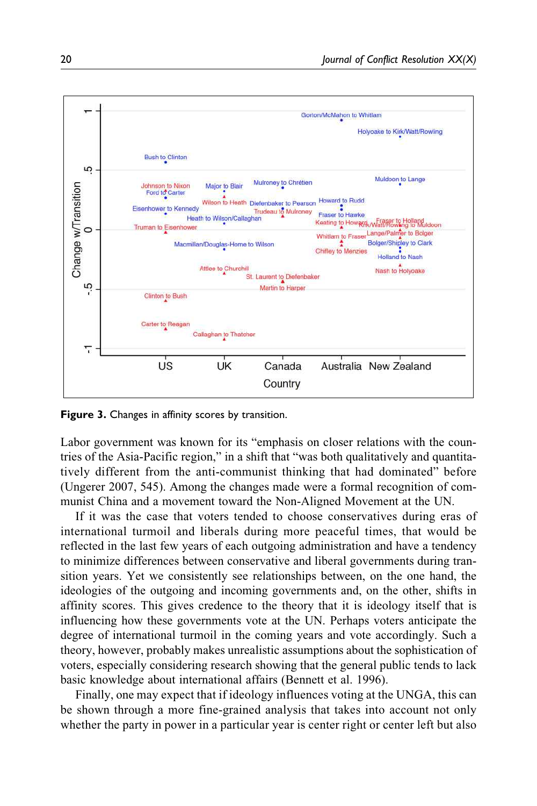

Figure 3. Changes in affinity scores by transition.

Labor government was known for its "emphasis on closer relations with the countries of the Asia-Pacific region," in a shift that "was both qualitatively and quantitatively different from the anti-communist thinking that had dominated" before (Ungerer 2007, 545). Among the changes made were a formal recognition of communist China and a movement toward the Non-Aligned Movement at the UN.

If it was the case that voters tended to choose conservatives during eras of international turmoil and liberals during more peaceful times, that would be reflected in the last few years of each outgoing administration and have a tendency to minimize differences between conservative and liberal governments during transition years. Yet we consistently see relationships between, on the one hand, the ideologies of the outgoing and incoming governments and, on the other, shifts in affinity scores. This gives credence to the theory that it is ideology itself that is influencing how these governments vote at the UN. Perhaps voters anticipate the degree of international turmoil in the coming years and vote accordingly. Such a theory, however, probably makes unrealistic assumptions about the sophistication of voters, especially considering research showing that the general public tends to lack basic knowledge about international affairs (Bennett et al. 1996).

Finally, one may expect that if ideology influences voting at the UNGA, this can be shown through a more fine-grained analysis that takes into account not only whether the party in power in a particular year is center right or center left but also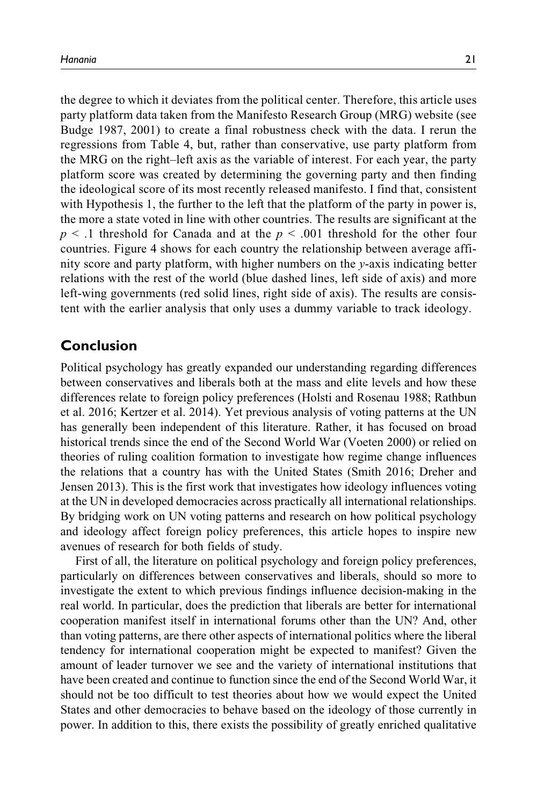the degree to which it deviates from the political center. Therefore, this article uses party platform data taken from the Manifesto Research Group (MRG) website (see Budge 1987, 2001) to create a final robustness check with the data. I rerun the regressions from Table 4, but, rather than conservative, use party platform from the MRG on the right–left axis as the variable of interest. For each year, the party platform score was created by determining the governing party and then finding the ideological score of its most recently released manifesto. I find that, consistent with Hypothesis 1, the further to the left that the platform of the party in power is, the more a state voted in line with other countries. The results are significant at the  $p \le 0.1$  threshold for Canada and at the  $p \le 0.001$  threshold for the other four countries. Figure 4 shows for each country the relationship between average affinity score and party platform, with higher numbers on the  $\nu$ -axis indicating better relations with the rest of the world (blue dashed lines, left side of axis) and more left-wing governments (red solid lines, right side of axis). The results are consistent with the earlier analysis that only uses a dummy variable to track ideology.

## Conclusion

Political psychology has greatly expanded our understanding regarding differences between conservatives and liberals both at the mass and elite levels and how these differences relate to foreign policy preferences (Holsti and Rosenau 1988; Rathbun et al. 2016; Kertzer et al. 2014). Yet previous analysis of voting patterns at the UN has generally been independent of this literature. Rather, it has focused on broad historical trends since the end of the Second World War (Voeten 2000) or relied on theories of ruling coalition formation to investigate how regime change influences the relations that a country has with the United States (Smith 2016; Dreher and Jensen 2013). This is the first work that investigates how ideology influences voting at the UN in developed democracies across practically all international relationships. By bridging work on UN voting patterns and research on how political psychology and ideology affect foreign policy preferences, this article hopes to inspire new avenues of research for both fields of study.

First of all, the literature on political psychology and foreign policy preferences, particularly on differences between conservatives and liberals, should so more to investigate the extent to which previous findings influence decision-making in the real world. In particular, does the prediction that liberals are better for international cooperation manifest itself in international forums other than the UN? And, other than voting patterns, are there other aspects of international politics where the liberal tendency for international cooperation might be expected to manifest? Given the amount of leader turnover we see and the variety of international institutions that have been created and continue to function since the end of the Second World War, it should not be too difficult to test theories about how we would expect the United States and other democracies to behave based on the ideology of those currently in power. In addition to this, there exists the possibility of greatly enriched qualitative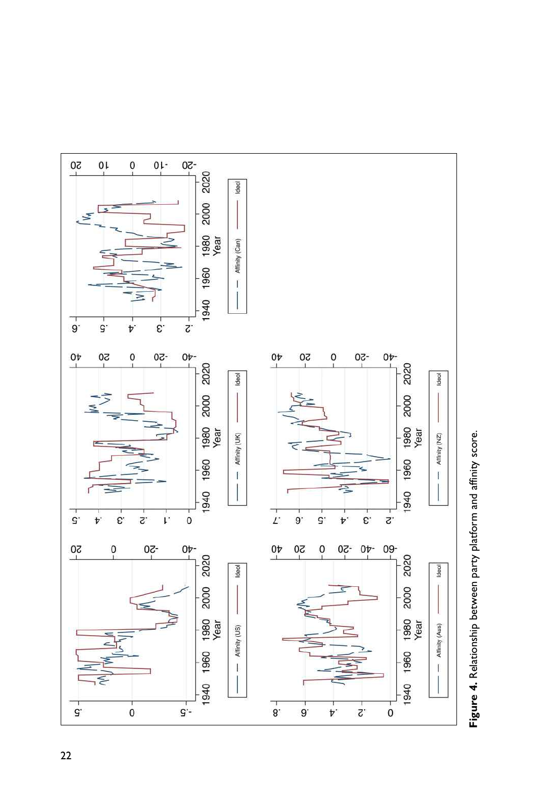

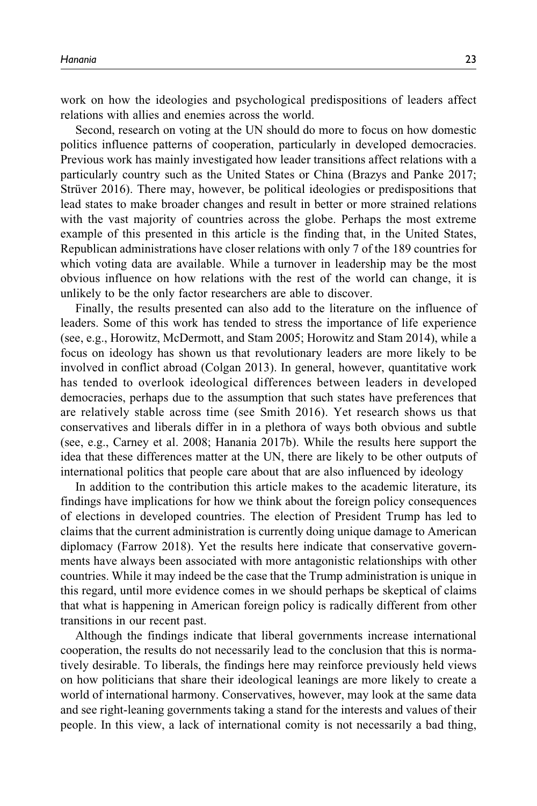work on how the ideologies and psychological predispositions of leaders affect relations with allies and enemies across the world.

Second, research on voting at the UN should do more to focus on how domestic politics influence patterns of cooperation, particularly in developed democracies. Previous work has mainly investigated how leader transitions affect relations with a particularly country such as the United States or China (Brazys and Panke 2017; Strüver 2016). There may, however, be political ideologies or predispositions that lead states to make broader changes and result in better or more strained relations with the vast majority of countries across the globe. Perhaps the most extreme example of this presented in this article is the finding that, in the United States, Republican administrations have closer relations with only 7 of the 189 countries for which voting data are available. While a turnover in leadership may be the most obvious influence on how relations with the rest of the world can change, it is unlikely to be the only factor researchers are able to discover.

Finally, the results presented can also add to the literature on the influence of leaders. Some of this work has tended to stress the importance of life experience (see, e.g., Horowitz, McDermott, and Stam 2005; Horowitz and Stam 2014), while a focus on ideology has shown us that revolutionary leaders are more likely to be involved in conflict abroad (Colgan 2013). In general, however, quantitative work has tended to overlook ideological differences between leaders in developed democracies, perhaps due to the assumption that such states have preferences that are relatively stable across time (see Smith 2016). Yet research shows us that conservatives and liberals differ in in a plethora of ways both obvious and subtle (see, e.g., Carney et al. 2008; Hanania 2017b). While the results here support the idea that these differences matter at the UN, there are likely to be other outputs of international politics that people care about that are also influenced by ideology

In addition to the contribution this article makes to the academic literature, its findings have implications for how we think about the foreign policy consequences of elections in developed countries. The election of President Trump has led to claims that the current administration is currently doing unique damage to American diplomacy (Farrow 2018). Yet the results here indicate that conservative governments have always been associated with more antagonistic relationships with other countries. While it may indeed be the case that the Trump administration is unique in this regard, until more evidence comes in we should perhaps be skeptical of claims that what is happening in American foreign policy is radically different from other transitions in our recent past.

Although the findings indicate that liberal governments increase international cooperation, the results do not necessarily lead to the conclusion that this is normatively desirable. To liberals, the findings here may reinforce previously held views on how politicians that share their ideological leanings are more likely to create a world of international harmony. Conservatives, however, may look at the same data and see right-leaning governments taking a stand for the interests and values of their people. In this view, a lack of international comity is not necessarily a bad thing,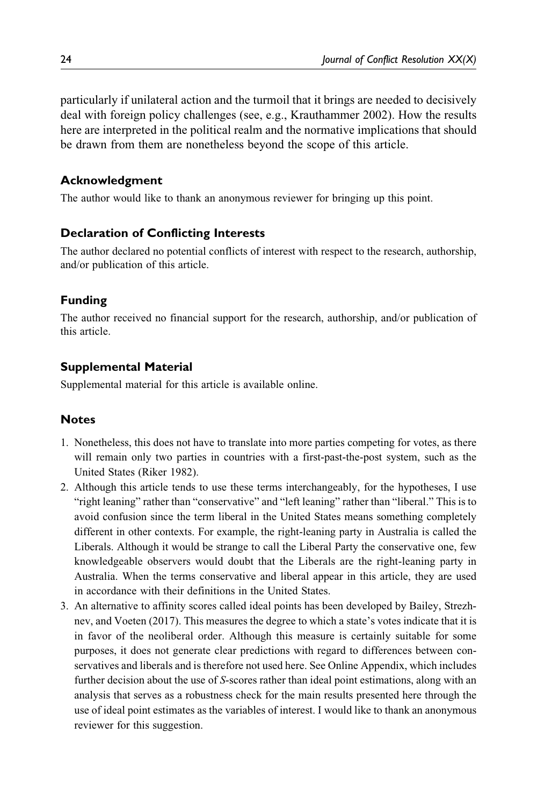particularly if unilateral action and the turmoil that it brings are needed to decisively deal with foreign policy challenges (see, e.g., Krauthammer 2002). How the results here are interpreted in the political realm and the normative implications that should be drawn from them are nonetheless beyond the scope of this article.

## Acknowledgment

The author would like to thank an anonymous reviewer for bringing up this point.

## Declaration of Conflicting Interests

The author declared no potential conflicts of interest with respect to the research, authorship, and/or publication of this article.

## Funding

The author received no financial support for the research, authorship, and/or publication of this article.

## Supplemental Material

Supplemental material for this article is available online.

## **Notes**

- 1. Nonetheless, this does not have to translate into more parties competing for votes, as there will remain only two parties in countries with a first-past-the-post system, such as the United States (Riker 1982).
- 2. Although this article tends to use these terms interchangeably, for the hypotheses, I use "right leaning" rather than "conservative" and "left leaning" rather than "liberal." This is to avoid confusion since the term liberal in the United States means something completely different in other contexts. For example, the right-leaning party in Australia is called the Liberals. Although it would be strange to call the Liberal Party the conservative one, few knowledgeable observers would doubt that the Liberals are the right-leaning party in Australia. When the terms conservative and liberal appear in this article, they are used in accordance with their definitions in the United States.
- 3. An alternative to affinity scores called ideal points has been developed by Bailey, Strezhnev, and Voeten (2017). This measures the degree to which a state's votes indicate that it is in favor of the neoliberal order. Although this measure is certainly suitable for some purposes, it does not generate clear predictions with regard to differences between conservatives and liberals and is therefore not used here. See Online Appendix, which includes further decision about the use of S-scores rather than ideal point estimations, along with an analysis that serves as a robustness check for the main results presented here through the use of ideal point estimates as the variables of interest. I would like to thank an anonymous reviewer for this suggestion.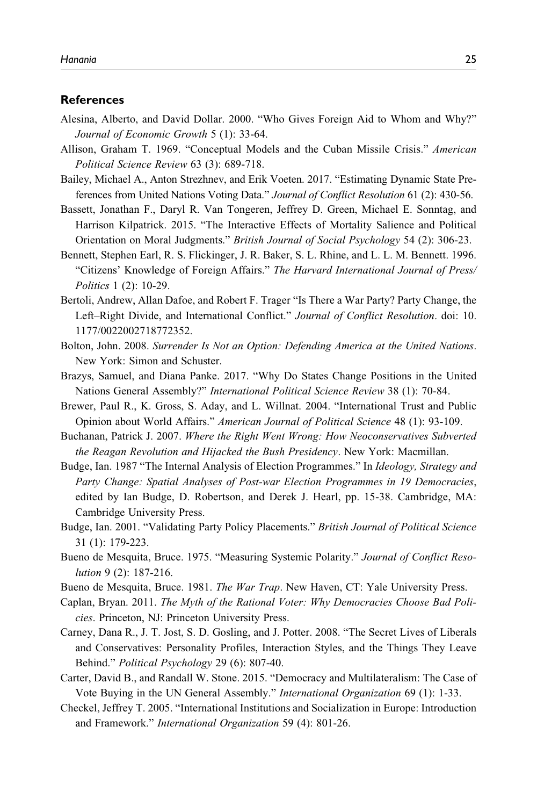#### **References**

- Alesina, Alberto, and David Dollar. 2000. "Who Gives Foreign Aid to Whom and Why?" Journal of Economic Growth 5 (1): 33-64.
- Allison, Graham T. 1969. "Conceptual Models and the Cuban Missile Crisis." American Political Science Review 63 (3): 689-718.
- Bailey, Michael A., Anton Strezhnev, and Erik Voeten. 2017. "Estimating Dynamic State Preferences from United Nations Voting Data." Journal of Conflict Resolution 61 (2): 430-56.
- Bassett, Jonathan F., Daryl R. Van Tongeren, Jeffrey D. Green, Michael E. Sonntag, and Harrison Kilpatrick. 2015. "The Interactive Effects of Mortality Salience and Political Orientation on Moral Judgments." British Journal of Social Psychology 54 (2): 306-23.
- Bennett, Stephen Earl, R. S. Flickinger, J. R. Baker, S. L. Rhine, and L. L. M. Bennett. 1996. "Citizens' Knowledge of Foreign Affairs." The Harvard International Journal of Press/ Politics 1 (2): 10-29.
- Bertoli, Andrew, Allan Dafoe, and Robert F. Trager "Is There a War Party? Party Change, the Left–Right Divide, and International Conflict." Journal of Conflict Resolution. doi: 10. 1177/0022002718772352.
- Bolton, John. 2008. Surrender Is Not an Option: Defending America at the United Nations. New York: Simon and Schuster.
- Brazys, Samuel, and Diana Panke. 2017. "Why Do States Change Positions in the United Nations General Assembly?" International Political Science Review 38 (1): 70-84.
- Brewer, Paul R., K. Gross, S. Aday, and L. Willnat. 2004. "International Trust and Public Opinion about World Affairs." American Journal of Political Science 48 (1): 93-109.
- Buchanan, Patrick J. 2007. Where the Right Went Wrong: How Neoconservatives Subverted the Reagan Revolution and Hijacked the Bush Presidency. New York: Macmillan.
- Budge, Ian. 1987 "The Internal Analysis of Election Programmes." In Ideology, Strategy and Party Change: Spatial Analyses of Post-war Election Programmes in 19 Democracies, edited by Ian Budge, D. Robertson, and Derek J. Hearl, pp. 15-38. Cambridge, MA: Cambridge University Press.
- Budge, Ian. 2001. "Validating Party Policy Placements." British Journal of Political Science 31 (1): 179-223.
- Bueno de Mesquita, Bruce. 1975. "Measuring Systemic Polarity." Journal of Conflict Resolution 9 (2): 187-216.
- Bueno de Mesquita, Bruce. 1981. The War Trap. New Haven, CT: Yale University Press.
- Caplan, Bryan. 2011. The Myth of the Rational Voter: Why Democracies Choose Bad Policies. Princeton, NJ: Princeton University Press.
- Carney, Dana R., J. T. Jost, S. D. Gosling, and J. Potter. 2008. "The Secret Lives of Liberals and Conservatives: Personality Profiles, Interaction Styles, and the Things They Leave Behind." Political Psychology 29 (6): 807-40.
- Carter, David B., and Randall W. Stone. 2015. "Democracy and Multilateralism: The Case of Vote Buying in the UN General Assembly." International Organization 69 (1): 1-33.
- Checkel, Jeffrey T. 2005. "International Institutions and Socialization in Europe: Introduction and Framework." International Organization 59 (4): 801-26.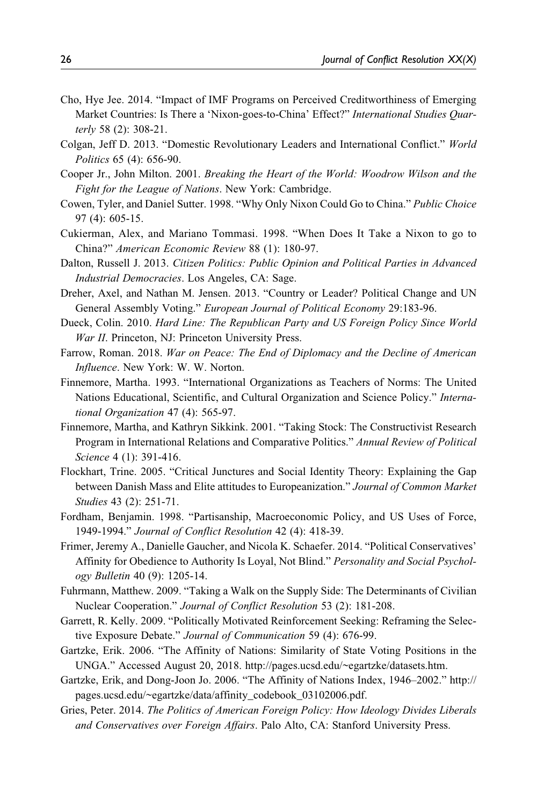- Cho, Hye Jee. 2014. "Impact of IMF Programs on Perceived Creditworthiness of Emerging Market Countries: Is There a 'Nixon-goes-to-China' Effect?" International Studies Quarterly 58 (2): 308-21.
- Colgan, Jeff D. 2013. "Domestic Revolutionary Leaders and International Conflict." World Politics 65 (4): 656-90.
- Cooper Jr., John Milton. 2001. Breaking the Heart of the World: Woodrow Wilson and the Fight for the League of Nations. New York: Cambridge.
- Cowen, Tyler, and Daniel Sutter. 1998. "Why Only Nixon Could Go to China." Public Choice 97 (4): 605-15.
- Cukierman, Alex, and Mariano Tommasi. 1998. "When Does It Take a Nixon to go to China?" American Economic Review 88 (1): 180-97.
- Dalton, Russell J. 2013. Citizen Politics: Public Opinion and Political Parties in Advanced Industrial Democracies. Los Angeles, CA: Sage.
- Dreher, Axel, and Nathan M. Jensen. 2013. "Country or Leader? Political Change and UN General Assembly Voting." European Journal of Political Economy 29:183-96.
- Dueck, Colin. 2010. Hard Line: The Republican Party and US Foreign Policy Since World War II. Princeton, NJ: Princeton University Press.
- Farrow, Roman. 2018. War on Peace: The End of Diplomacy and the Decline of American Influence. New York: W. W. Norton.
- Finnemore, Martha. 1993. "International Organizations as Teachers of Norms: The United Nations Educational, Scientific, and Cultural Organization and Science Policy." International Organization 47 (4): 565-97.
- Finnemore, Martha, and Kathryn Sikkink. 2001. "Taking Stock: The Constructivist Research Program in International Relations and Comparative Politics." Annual Review of Political Science 4 (1): 391-416.
- Flockhart, Trine. 2005. "Critical Junctures and Social Identity Theory: Explaining the Gap between Danish Mass and Elite attitudes to Europeanization." Journal of Common Market Studies 43 (2): 251-71.
- Fordham, Benjamin. 1998. "Partisanship, Macroeconomic Policy, and US Uses of Force, 1949-1994." Journal of Conflict Resolution 42 (4): 418-39.
- Frimer, Jeremy A., Danielle Gaucher, and Nicola K. Schaefer. 2014. "Political Conservatives' Affinity for Obedience to Authority Is Loyal, Not Blind." Personality and Social Psychology Bulletin 40 (9): 1205-14.
- Fuhrmann, Matthew. 2009. "Taking a Walk on the Supply Side: The Determinants of Civilian Nuclear Cooperation." Journal of Conflict Resolution 53 (2): 181-208.
- Garrett, R. Kelly. 2009. "Politically Motivated Reinforcement Seeking: Reframing the Selective Exposure Debate." Journal of Communication 59 (4): 676-99.
- Gartzke, Erik. 2006. "The Affinity of Nations: Similarity of State Voting Positions in the UNGA." Accessed August 20, 2018. http://pages.ucsd.edu/~egartzke/datasets.htm.
- Gartzke, Erik, and Dong-Joon Jo. 2006. "The Affinity of Nations Index, 1946–2002." http:// pages.ucsd.edu/~egartzke/data/affinity\_codebook\_03102006.pdf.
- Gries, Peter. 2014. The Politics of American Foreign Policy: How Ideology Divides Liberals and Conservatives over Foreign Affairs. Palo Alto, CA: Stanford University Press.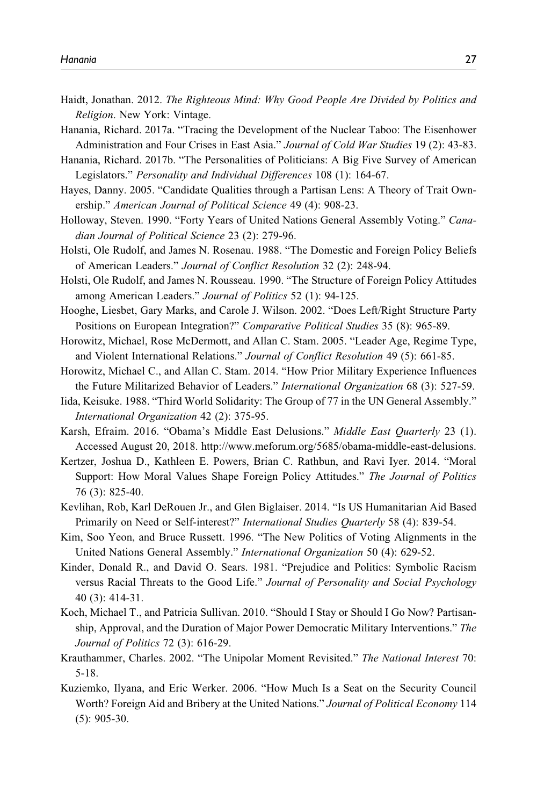- Haidt, Jonathan. 2012. The Righteous Mind: Why Good People Are Divided by Politics and Religion. New York: Vintage.
- Hanania, Richard. 2017a. "Tracing the Development of the Nuclear Taboo: The Eisenhower Administration and Four Crises in East Asia." Journal of Cold War Studies 19 (2): 43-83.
- Hanania, Richard. 2017b. "The Personalities of Politicians: A Big Five Survey of American Legislators." Personality and Individual Differences 108 (1): 164-67.
- Hayes, Danny. 2005. "Candidate Qualities through a Partisan Lens: A Theory of Trait Ownership." American Journal of Political Science 49 (4): 908-23.
- Holloway, Steven. 1990. "Forty Years of United Nations General Assembly Voting." Canadian Journal of Political Science 23 (2): 279-96.
- Holsti, Ole Rudolf, and James N. Rosenau. 1988. "The Domestic and Foreign Policy Beliefs of American Leaders." Journal of Conflict Resolution 32 (2): 248-94.
- Holsti, Ole Rudolf, and James N. Rousseau. 1990. "The Structure of Foreign Policy Attitudes among American Leaders." Journal of Politics 52 (1): 94-125.
- Hooghe, Liesbet, Gary Marks, and Carole J. Wilson. 2002. "Does Left/Right Structure Party Positions on European Integration?" Comparative Political Studies 35 (8): 965-89.
- Horowitz, Michael, Rose McDermott, and Allan C. Stam. 2005. "Leader Age, Regime Type, and Violent International Relations." Journal of Conflict Resolution 49 (5): 661-85.
- Horowitz, Michael C., and Allan C. Stam. 2014. "How Prior Military Experience Influences the Future Militarized Behavior of Leaders." International Organization 68 (3): 527-59.
- Iida, Keisuke. 1988. "Third World Solidarity: The Group of 77 in the UN General Assembly." International Organization 42 (2): 375-95.
- Karsh, Efraim. 2016. "Obama's Middle East Delusions." Middle East Quarterly 23 (1). Accessed August 20, 2018. http://www.meforum.org/5685/obama-middle-east-delusions.
- Kertzer, Joshua D., Kathleen E. Powers, Brian C. Rathbun, and Ravi Iyer. 2014. "Moral Support: How Moral Values Shape Foreign Policy Attitudes." The Journal of Politics 76 (3): 825-40.
- Kevlihan, Rob, Karl DeRouen Jr., and Glen Biglaiser. 2014. "Is US Humanitarian Aid Based Primarily on Need or Self-interest?" International Studies Quarterly 58 (4): 839-54.
- Kim, Soo Yeon, and Bruce Russett. 1996. "The New Politics of Voting Alignments in the United Nations General Assembly." International Organization 50 (4): 629-52.
- Kinder, Donald R., and David O. Sears. 1981. "Prejudice and Politics: Symbolic Racism versus Racial Threats to the Good Life." Journal of Personality and Social Psychology 40 (3): 414-31.
- Koch, Michael T., and Patricia Sullivan. 2010. "Should I Stay or Should I Go Now? Partisanship, Approval, and the Duration of Major Power Democratic Military Interventions." The Journal of Politics 72 (3): 616-29.
- Krauthammer, Charles. 2002. "The Unipolar Moment Revisited." The National Interest 70: 5-18.
- Kuziemko, Ilyana, and Eric Werker. 2006. "How Much Is a Seat on the Security Council Worth? Foreign Aid and Bribery at the United Nations." Journal of Political Economy 114 (5): 905-30.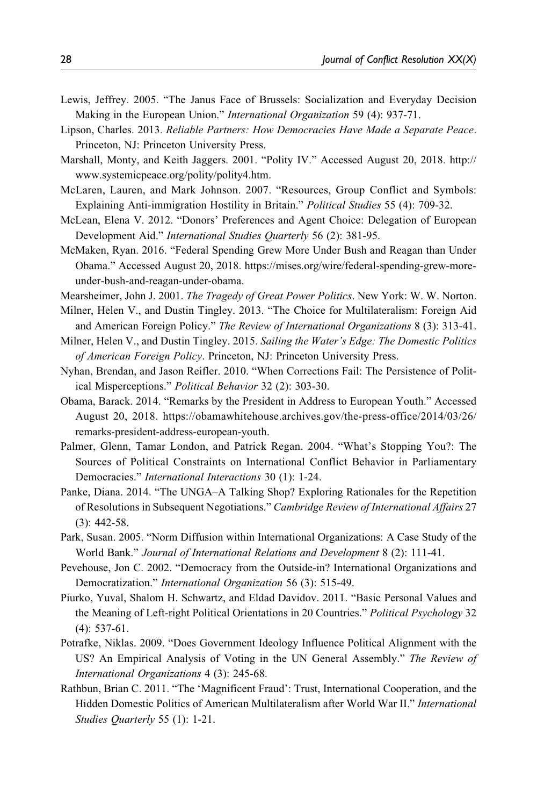- Lewis, Jeffrey. 2005. "The Janus Face of Brussels: Socialization and Everyday Decision Making in the European Union." *International Organization* 59 (4): 937-71.
- Lipson, Charles. 2013. Reliable Partners: How Democracies Have Made a Separate Peace. Princeton, NJ: Princeton University Press.
- Marshall, Monty, and Keith Jaggers. 2001. "Polity IV." Accessed August 20, 2018. http:// www.systemicpeace.org/polity/polity4.htm.
- McLaren, Lauren, and Mark Johnson. 2007. "Resources, Group Conflict and Symbols: Explaining Anti-immigration Hostility in Britain." Political Studies 55 (4): 709-32.
- McLean, Elena V. 2012. "Donors' Preferences and Agent Choice: Delegation of European Development Aid." International Studies Quarterly 56 (2): 381-95.
- McMaken, Ryan. 2016. "Federal Spending Grew More Under Bush and Reagan than Under Obama." Accessed August 20, 2018. https://mises.org/wire/federal-spending-grew-moreunder-bush-and-reagan-under-obama.
- Mearsheimer, John J. 2001. The Tragedy of Great Power Politics. New York: W. W. Norton.
- Milner, Helen V., and Dustin Tingley. 2013. "The Choice for Multilateralism: Foreign Aid and American Foreign Policy." The Review of International Organizations 8 (3): 313-41.
- Milner, Helen V., and Dustin Tingley. 2015. Sailing the Water's Edge: The Domestic Politics of American Foreign Policy. Princeton, NJ: Princeton University Press.
- Nyhan, Brendan, and Jason Reifler. 2010. "When Corrections Fail: The Persistence of Political Misperceptions." Political Behavior 32 (2): 303-30.
- Obama, Barack. 2014. "Remarks by the President in Address to European Youth." Accessed August 20, 2018. https://obamawhitehouse.archives.gov/the-press-office/2014/03/26/ remarks-president-address-european-youth.
- Palmer, Glenn, Tamar London, and Patrick Regan. 2004. "What's Stopping You?: The Sources of Political Constraints on International Conflict Behavior in Parliamentary Democracies." International Interactions 30 (1): 1-24.
- Panke, Diana. 2014. "The UNGA–A Talking Shop? Exploring Rationales for the Repetition of Resolutions in Subsequent Negotiations." Cambridge Review of International Affairs 27 (3): 442-58.
- Park, Susan. 2005. "Norm Diffusion within International Organizations: A Case Study of the World Bank." Journal of International Relations and Development 8 (2): 111-41.
- Pevehouse, Jon C. 2002. "Democracy from the Outside-in? International Organizations and Democratization." International Organization 56 (3): 515-49.
- Piurko, Yuval, Shalom H. Schwartz, and Eldad Davidov. 2011. "Basic Personal Values and the Meaning of Left-right Political Orientations in 20 Countries." Political Psychology 32 (4): 537-61.
- Potrafke, Niklas. 2009. "Does Government Ideology Influence Political Alignment with the US? An Empirical Analysis of Voting in the UN General Assembly." The Review of International Organizations 4 (3): 245-68.
- Rathbun, Brian C. 2011. "The 'Magnificent Fraud': Trust, International Cooperation, and the Hidden Domestic Politics of American Multilateralism after World War II." International Studies Quarterly 55 (1): 1-21.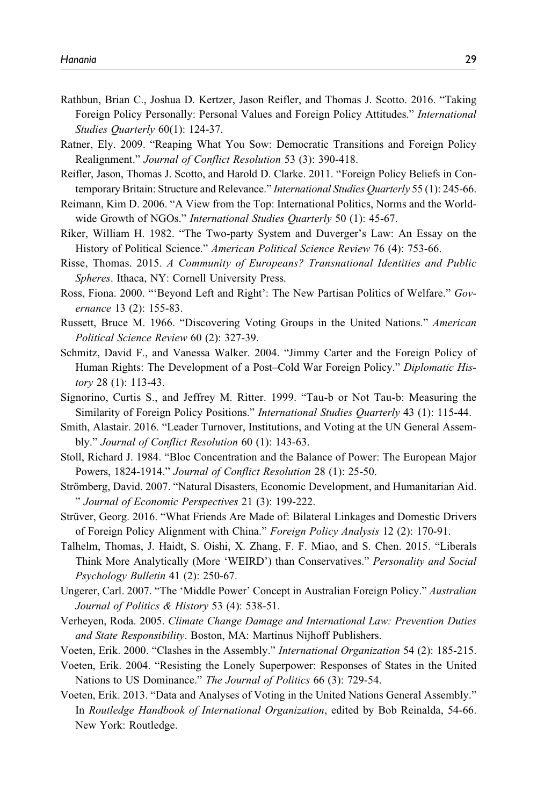- Rathbun, Brian C., Joshua D. Kertzer, Jason Reifler, and Thomas J. Scotto. 2016. "Taking Foreign Policy Personally: Personal Values and Foreign Policy Attitudes." International Studies Quarterly 60(1): 124-37.
- Ratner, Ely. 2009. "Reaping What You Sow: Democratic Transitions and Foreign Policy Realignment." Journal of Conflict Resolution 53 (3): 390-418.
- Reifler, Jason, Thomas J. Scotto, and Harold D. Clarke. 2011. "Foreign Policy Beliefs in Contemporary Britain: Structure and Relevance." International Studies Quarterly 55 (1): 245-66.
- Reimann, Kim D. 2006. "A View from the Top: International Politics, Norms and the Worldwide Growth of NGOs." International Studies Ouarterly 50 (1): 45-67.
- Riker, William H. 1982. "The Two-party System and Duverger's Law: An Essay on the History of Political Science." American Political Science Review 76 (4): 753-66.
- Risse, Thomas. 2015. A Community of Europeans? Transnational Identities and Public Spheres. Ithaca, NY: Cornell University Press.
- Ross, Fiona. 2000. "'Beyond Left and Right': The New Partisan Politics of Welfare." Governance 13 (2): 155-83.
- Russett, Bruce M. 1966. "Discovering Voting Groups in the United Nations." American Political Science Review 60 (2): 327-39.
- Schmitz, David F., and Vanessa Walker. 2004. "Jimmy Carter and the Foreign Policy of Human Rights: The Development of a Post–Cold War Foreign Policy." Diplomatic History 28 (1): 113-43.
- Signorino, Curtis S., and Jeffrey M. Ritter. 1999. "Tau-b or Not Tau-b: Measuring the Similarity of Foreign Policy Positions." *International Studies Quarterly* 43 (1): 115-44.
- Smith, Alastair. 2016. "Leader Turnover, Institutions, and Voting at the UN General Assembly." Journal of Conflict Resolution 60 (1): 143-63.
- Stoll, Richard J. 1984. "Bloc Concentration and the Balance of Power: The European Major Powers, 1824-1914." Journal of Conflict Resolution 28 (1): 25-50.
- Strömberg, David. 2007. "Natural Disasters, Economic Development, and Humanitarian Aid. " Journal of Economic Perspectives 21 (3): 199-222.
- Strüver, Georg. 2016. "What Friends Are Made of: Bilateral Linkages and Domestic Drivers of Foreign Policy Alignment with China." Foreign Policy Analysis 12 (2): 170-91.
- Talhelm, Thomas, J. Haidt, S. Oishi, X. Zhang, F. F. Miao, and S. Chen. 2015. "Liberals Think More Analytically (More 'WEIRD') than Conservatives." Personality and Social Psychology Bulletin 41 (2): 250-67.
- Ungerer, Carl. 2007. "The 'Middle Power' Concept in Australian Foreign Policy." Australian Journal of Politics & History 53 (4): 538-51.
- Verheyen, Roda. 2005. Climate Change Damage and International Law: Prevention Duties and State Responsibility. Boston, MA: Martinus Nijhoff Publishers.
- Voeten, Erik. 2000. "Clashes in the Assembly." International Organization 54 (2): 185-215.
- Voeten, Erik. 2004. "Resisting the Lonely Superpower: Responses of States in the United Nations to US Dominance." The Journal of Politics 66 (3): 729-54.
- Voeten, Erik. 2013. "Data and Analyses of Voting in the United Nations General Assembly." In Routledge Handbook of International Organization, edited by Bob Reinalda, 54-66. New York: Routledge.